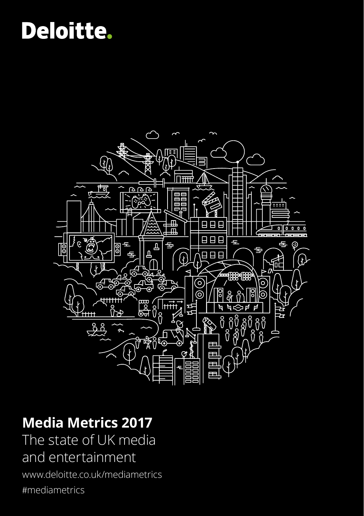## **Deloitte.**



### **Media Metrics 2017**

The state of UK media and entertainment

www.deloitte.co.uk/mediametrics #mediametrics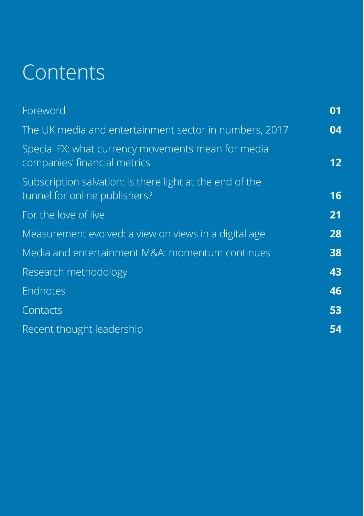# **Contents**

| Foreword                                                                                  | 01 |
|-------------------------------------------------------------------------------------------|----|
| The UK media and entertainment sector in numbers, 2017                                    | 04 |
| Special FX: what currency movements mean for media<br>companies' financial metrics        | 12 |
| Subscription salvation: is there light at the end of the<br>tunnel for online publishers? | 16 |
| For the love of live                                                                      | 21 |
| Measurement evolved: a view on views in a digital age                                     | 28 |
| Media and entertainment M&A: momentum continues                                           | 38 |
| Research methodology                                                                      | 43 |
| Endnotes                                                                                  | 46 |
| Contacts                                                                                  | 53 |
| Recent thought leadership                                                                 | 54 |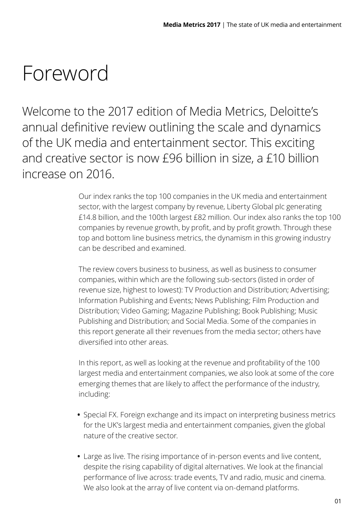### <span id="page-2-0"></span>Foreword

Welcome to the 2017 edition of Media Metrics, Deloitte's annual definitive review outlining the scale and dynamics of the UK media and entertainment sector. This exciting and creative sector is now £96 billion in size, a £10 billion increase on 2016.

> Our index ranks the top 100 companies in the UK media and entertainment sector, with the largest company by revenue, Liberty Global plc generating £14.8 billion, and the 100th largest £82 million. Our index also ranks the top 100 companies by revenue growth, by profit, and by profit growth. Through these top and bottom line business metrics, the dynamism in this growing industry can be described and examined.

The review covers business to business, as well as business to consumer companies, within which are the following sub-sectors (listed in order of revenue size, highest to lowest): TV Production and Distribution; Advertising; Information Publishing and Events; News Publishing; Film Production and Distribution; Video Gaming; Magazine Publishing; Book Publishing; Music Publishing and Distribution; and Social Media. Some of the companies in this report generate all their revenues from the media sector; others have diversified into other areas.

In this report, as well as looking at the revenue and profitability of the 100 largest media and entertainment companies, we also look at some of the core emerging themes that are likely to affect the performance of the industry, including:

- **•** Special FX. Foreign exchange and its impact on interpreting business metrics for the UK's largest media and entertainment companies, given the global nature of the creative sector.
- **•** Large as live. The rising importance of in-person events and live content, despite the rising capability of digital alternatives. We look at the financial performance of live across: trade events, TV and radio, music and cinema. We also look at the array of live content via on-demand platforms.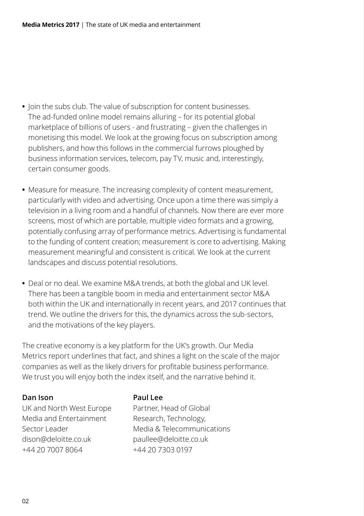- **•** Join the subs club. The value of subscription for content businesses. The ad-funded online model remains alluring – for its potential global marketplace of billions of users - and frustrating – given the challenges in monetising this model. We look at the growing focus on subscription among publishers, and how this follows in the commercial furrows ploughed by business information services, telecom, pay TV, music and, interestingly, certain consumer goods.
- **•** Measure for measure. The increasing complexity of content measurement, particularly with video and advertising. Once upon a time there was simply a television in a living room and a handful of channels. Now there are ever more screens, most of which are portable, multiple video formats and a growing, potentially confusing array of performance metrics. Advertising is fundamental to the funding of content creation; measurement is core to advertising. Making measurement meaningful and consistent is critical. We look at the current landscapes and discuss potential resolutions.
- **•** Deal or no deal. We examine M&A trends, at both the global and UK level. There has been a tangible boom in media and entertainment sector M&A both within the UK and internationally in recent years, and 2017 continues that trend. We outline the drivers for this, the dynamics across the sub-sectors, and the motivations of the key players.

The creative economy is a key platform for the UK's growth. Our Media Metrics report underlines that fact, and shines a light on the scale of the major companies as well as the likely drivers for profitable business performance. We trust you will enjoy both the index itself, and the narrative behind it.

#### **Dan Ison Paul Lee**

UK and North West Europe Partner, Head of Global Media and Entertainment Research, Technology, dison@deloitte.co.uk paullee@deloitte.co.uk +44 20 7007 8064 +44 20 7303 0197

Sector Leader Media & Telecommunications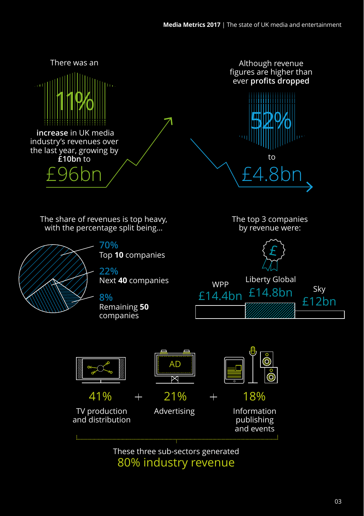

80% industry revenue These three sub-sectors generated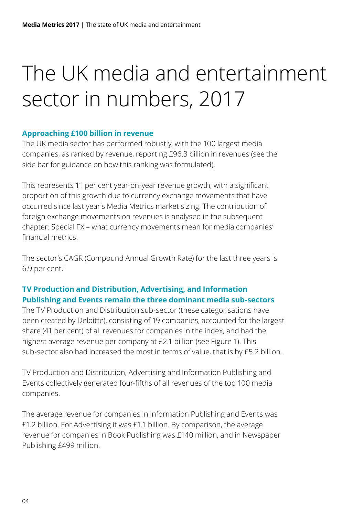# <span id="page-5-0"></span>The UK media and entertainment sector in numbers, 2017

#### **Approaching £100 billion in revenue**

The UK media sector has performed robustly, with the 100 largest media companies, as ranked by revenue, reporting £96.3 billion in revenues (see the side bar for guidance on how this ranking was formulated).

This represents 11 per cent year-on-year revenue growth, with a significant proportion of this growth due to currency exchange movements that have occurred since last year's Media Metrics market sizing. The contribution of foreign exchange movements on revenues is analysed in the subsequent chapter: Special FX – what currency movements mean for media companies' financial metrics.

The sector's CAGR (Compound Annual Growth Rate) for the last three years is 6.9 per cent.1

#### **TV Production and Distribution, Advertising, and Information Publishing and Events remain the three dominant media sub-sectors**

The TV Production and Distribution sub-sector (these categorisations have been created by Deloitte), consisting of 19 companies, accounted for the largest share (41 per cent) of all revenues for companies in the index, and had the highest average revenue per company at £2.1 billion (see Figure 1). This sub-sector also had increased the most in terms of value, that is by £5.2 billion.

TV Production and Distribution, Advertising and Information Publishing and Events collectively generated four-fifths of all revenues of the top 100 media companies.

The average revenue for companies in Information Publishing and Events was £1.2 billion. For Advertising it was £1.1 billion. By comparison, the average revenue for companies in Book Publishing was £140 million, and in Newspaper Publishing £499 million.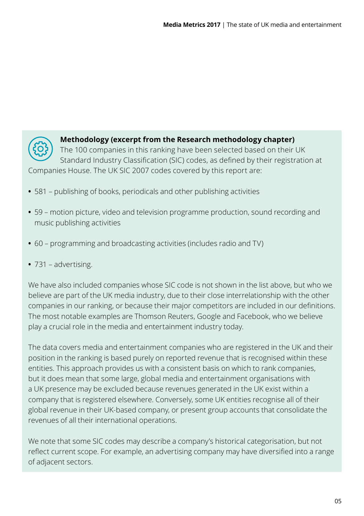

#### **Methodology (excerpt from the Research methodology chapter)**

The 100 companies in this ranking have been selected based on their UK Standard Industry Classification (SIC) codes, as defined by their registration at Companies House. The UK SIC 2007 codes covered by this report are:

- **•** 581 publishing of books, periodicals and other publishing activities
- **•** 59 motion picture, video and television programme production, sound recording and music publishing activities
- **•** 60 programming and broadcasting activities (includes radio and TV)
- **•** 731 advertising.

We have also included companies whose SIC code is not shown in the list above, but who we believe are part of the UK media industry, due to their close interrelationship with the other companies in our ranking, or because their major competitors are included in our definitions. The most notable examples are Thomson Reuters, Google and Facebook, who we believe play a crucial role in the media and entertainment industry today.

The data covers media and entertainment companies who are registered in the UK and their position in the ranking is based purely on reported revenue that is recognised within these entities. This approach provides us with a consistent basis on which to rank companies, but it does mean that some large, global media and entertainment organisations with a UK presence may be excluded because revenues generated in the UK exist within a company that is registered elsewhere. Conversely, some UK entities recognise all of their global revenue in their UK-based company, or present group accounts that consolidate the revenues of all their international operations.

We note that some SIC codes may describe a company's historical categorisation, but not reflect current scope. For example, an advertising company may have diversified into a range of adjacent sectors.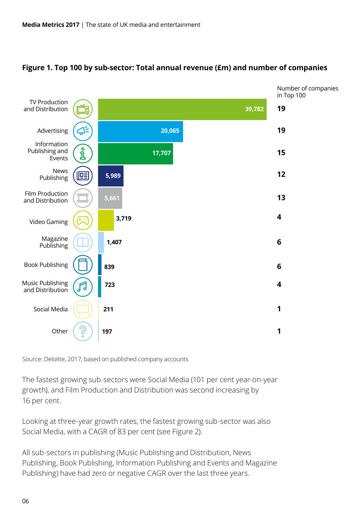

#### **Figure 1. Top 100 by sub-sector: Total annual revenue (£m) and number of companies**

Source: Deloitte, 2017, based on published company accounts

The fastest growing sub-sectors were Social Media (101 per cent year-on-year growth), and Film Production and Distribution was second increasing by 16 per cent.

Looking at three-year growth rates, the fastest growing sub-sector was also Social Media, with a CAGR of 83 per cent (see Figure 2).

All sub-sectors in publishing (Music Publishing and Distribution, News Publishing, Book Publishing, Information Publishing and Events and Magazine Publishing) have had zero or negative CAGR over the last three years.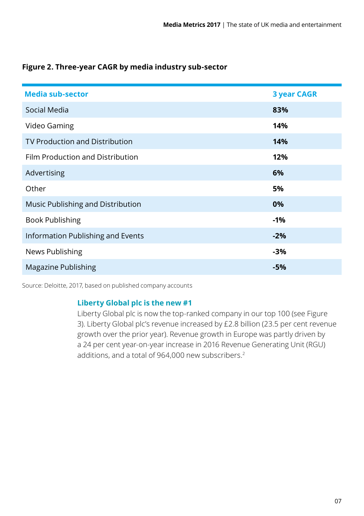| Figure 2. Three-year CAGR by media industry sub-sector |
|--------------------------------------------------------|
|--------------------------------------------------------|

| <b>Media sub-sector</b>               | <b>3 year CAGR</b> |
|---------------------------------------|--------------------|
| Social Media                          | 83%                |
| Video Gaming                          | 14%                |
| <b>TV Production and Distribution</b> | 14%                |
| Film Production and Distribution      | 12%                |
| Advertising                           | 6%                 |
| Other                                 | 5%                 |
| Music Publishing and Distribution     | 0%                 |
| <b>Book Publishing</b>                | -1%                |
| Information Publishing and Events     | $-2%$              |
| News Publishing                       | -3%                |
| <b>Magazine Publishing</b>            | -5%                |

Source: Deloitte, 2017, based on published company accounts

#### **Liberty Global plc is the new #1**

Liberty Global plc is now the top-ranked company in our top 100 (see Figure 3). Liberty Global plc's revenue increased by £2.8 billion (23.5 per cent revenue growth over the prior year). Revenue growth in Europe was partly driven by a 24 per cent year-on-year increase in 2016 Revenue Generating Unit (RGU) additions, and a total of 964,000 new subscribers.<sup>2</sup>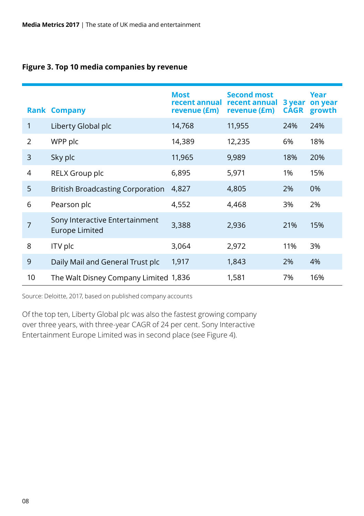#### **Figure 3. Top 10 media companies by revenue**

|    | <b>Rank Company</b>                                     | <b>Most</b><br>recent annual<br>revenue (£m) | <b>Second most</b><br>recent annual<br>revenue (£m) | 3 year<br><b>CAGR</b> | Year<br>on year<br>growth |
|----|---------------------------------------------------------|----------------------------------------------|-----------------------------------------------------|-----------------------|---------------------------|
| 1  | Liberty Global plc                                      | 14,768                                       | 11,955                                              | 24%                   | 24%                       |
| 2  | WPP plc                                                 | 14,389                                       | 12,235                                              | 6%                    | 18%                       |
| 3  | Sky plc                                                 | 11,965                                       | 9,989                                               | 18%                   | 20%                       |
| 4  | RELX Group plc                                          | 6,895                                        | 5,971                                               | 1%                    | 15%                       |
| 5  | <b>British Broadcasting Corporation</b>                 | 4,827                                        | 4,805                                               | 2%                    | 0%                        |
| 6  | Pearson plc                                             | 4,552                                        | 4,468                                               | 3%                    | 2%                        |
| 7  | Sony Interactive Entertainment<br><b>Europe Limited</b> | 3,388                                        | 2,936                                               | 21%                   | 15%                       |
| 8  | ITV plc                                                 | 3,064                                        | 2,972                                               | 11%                   | 3%                        |
| 9  | Daily Mail and General Trust plc                        | 1,917                                        | 1,843                                               | 2%                    | 4%                        |
| 10 | The Walt Disney Company Limited 1,836                   |                                              | 1,581                                               | 7%                    | 16%                       |

Source: Deloitte, 2017, based on published company accounts

Of the top ten, Liberty Global plc was also the fastest growing company over three years, with three-year CAGR of 24 per cent. Sony Interactive Entertainment Europe Limited was in second place (see Figure 4).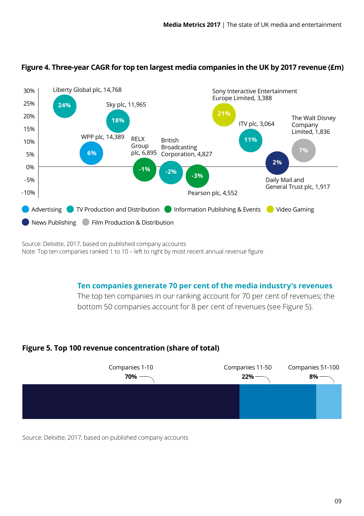

#### **Figure 4. Three-year CAGR for top ten largest media companies in the UK by 2017 revenue (£m)**

Source: Deloitte, 2017, based on published company accounts Note: Top ten companies ranked 1 to 10 – left to right by most recent annual revenue figure.

#### **Ten companies generate 70 per cent of the media industry's revenues**

The top ten companies in our ranking account for 70 per cent of revenues; the bottom 50 companies account for 8 per cent of revenues (see Figure 5).

#### **Figure 5. Top 100 revenue concentration (share of total)**



Source: Deloitte, 2017, based on published company accounts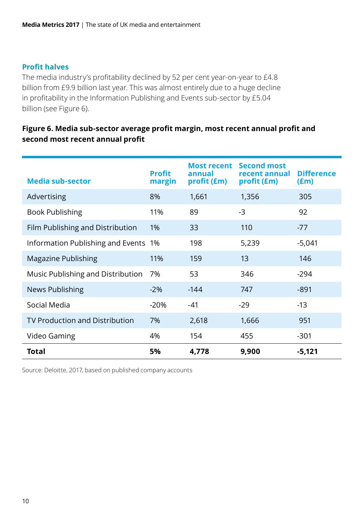#### **Profit halves**

The media industry's profitability declined by 52 per cent year-on-year to £4.8 billion from £9.9 billion last year. This was almost entirely due to a huge decline in profitability in the Information Publishing and Events sub-sector by £5.04 billion (see Figure 6).

#### **Figure 6. Media sub-sector average profit margin, most recent annual profit and second most recent annual profit**

| <b>Media sub-sector</b>               | <b>Profit</b><br>margin | <b>Most recent</b><br>annual<br>profit (£m) | <b>Second most</b><br>recent annual<br>profit (£m) | <b>Difference</b><br>$(\text{Em})$ |
|---------------------------------------|-------------------------|---------------------------------------------|----------------------------------------------------|------------------------------------|
| Advertising                           | 8%                      | 1,661                                       | 1,356                                              | 305                                |
| <b>Book Publishing</b>                | 11%                     | 89                                          | $-3$                                               | 92                                 |
| Film Publishing and Distribution      | 1%                      | 33                                          | 110                                                | $-77$                              |
| Information Publishing and Events 1%  |                         | 198                                         | 5,239                                              | $-5,041$                           |
| Magazine Publishing                   | 11%                     | 159                                         | 13                                                 | 146                                |
| Music Publishing and Distribution     | 7%                      | 53                                          | 346                                                | $-294$                             |
| News Publishing                       | $-2\%$                  | $-144$                                      | 747                                                | $-891$                             |
| Social Media                          | $-20%$                  | -41                                         | $-29$                                              | $-13$                              |
| <b>TV Production and Distribution</b> | 7%                      | 2,618                                       | 1,666                                              | 951                                |
| Video Gaming                          | 4%                      | 154                                         | 455                                                | $-301$                             |
| Total                                 | 5%                      | 4.778                                       | 9.900                                              | $-5,121$                           |

Source: Deloitte, 2017, based on published company accounts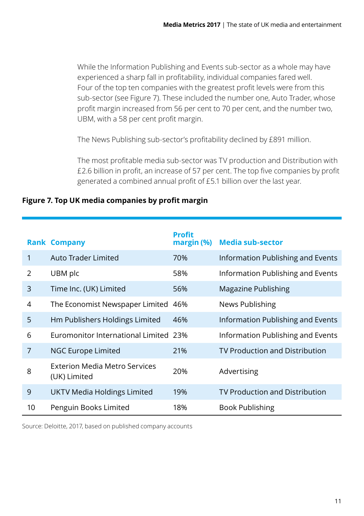While the Information Publishing and Events sub-sector as a whole may have experienced a sharp fall in profitability, individual companies fared well. Four of the top ten companies with the greatest profit levels were from this sub-sector (see Figure 7). These included the number one, Auto Trader, whose profit margin increased from 56 per cent to 70 per cent, and the number two, UBM, with a 58 per cent profit margin.

The News Publishing sub-sector's profitability declined by £891 million.

The most profitable media sub-sector was TV production and Distribution with £2.6 billion in profit, an increase of 57 per cent. The top five companies by profit generated a combined annual profit of £5.1 billion over the last year.

| Figure 7. Top UK media companies by profit margin |  |  |  |  |
|---------------------------------------------------|--|--|--|--|
|                                                   |  |  |  |  |

|    | <b>Rank Company</b>                           | <b>Profit</b><br>margin (%) | <b>Media sub-sector</b>               |
|----|-----------------------------------------------|-----------------------------|---------------------------------------|
| 1  | Auto Trader Limited                           | 70%                         | Information Publishing and Events     |
| 2  | UBM plc                                       | 58%                         | Information Publishing and Events     |
| 3  | Time Inc. (UK) Limited                        | 56%                         | Magazine Publishing                   |
| 4  | The Economist Newspaper Limited 46%           |                             | News Publishing                       |
| 5  | Hm Publishers Holdings Limited                | 46%                         | Information Publishing and Events     |
| 6  | Euromonitor International Limited 23%         |                             | Information Publishing and Events     |
| 7  | <b>NGC Europe Limited</b>                     | 21%                         | <b>TV Production and Distribution</b> |
| 8  | Exterion Media Metro Services<br>(UK) Limited | 20%                         | Advertising                           |
| 9  | UKTV Media Holdings Limited                   | 19%                         | TV Production and Distribution        |
| 10 | Penguin Books Limited                         | 18%                         | <b>Book Publishing</b>                |

Source: Deloitte, 2017, based on published company accounts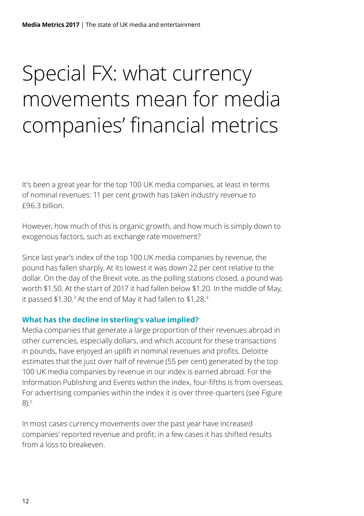# <span id="page-13-0"></span>Special FX: what currency movements mean for media companies' financial metrics

It's been a great year for the top 100 UK media companies, at least in terms of nominal revenues: 11 per cent growth has taken industry revenue to £96.3 billion.

However, how much of this is organic growth, and how much is simply down to exogenous factors, such as exchange rate movement?

Since last year's index of the top 100 UK media companies by revenue, the pound has fallen sharply. At its lowest it was down 22 per cent relative to the dollar. On the day of the Brexit vote, as the polling stations closed, a pound was worth \$1.50. At the start of 2017 it had fallen below \$1.20. In the middle of May, it passed \$1.30.<sup>3</sup> At the end of May it had fallen to \$1.28.4

#### **What has the decline in sterling's value implied?**

Media companies that generate a large proportion of their revenues abroad in other currencies, especially dollars, and which account for these transactions in pounds, have enjoyed an uplift in nominal revenues and profits. Deloitte estimates that the just over half of revenue (55 per cent) generated by the top 100 UK media companies by revenue in our index is earned abroad. For the Information Publishing and Events within the index, four-fifths is from overseas. For advertising companies within the index it is over three-quarters (see Figure  $8)5$ 

In most cases currency movements over the past year have increased companies' reported revenue and profit; in a few cases it has shifted results from a loss to breakeven.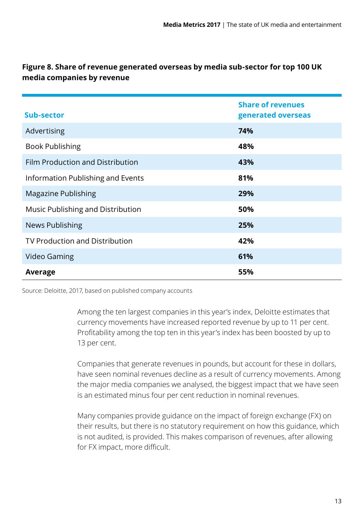| Sub-sector                        | <b>Share of revenues</b><br>generated overseas |
|-----------------------------------|------------------------------------------------|
| Advertising                       | 74%                                            |
| <b>Book Publishing</b>            | 48%                                            |
| Film Production and Distribution  | 43%                                            |
| Information Publishing and Events | 81%                                            |
| Magazine Publishing               | 29%                                            |
| Music Publishing and Distribution | 50%                                            |
| <b>News Publishing</b>            | 25%                                            |
| TV Production and Distribution    | 42%                                            |
| Video Gaming                      | 61%                                            |
| Average                           | 55%                                            |

#### **Figure 8. Share of revenue generated overseas by media sub-sector for top 100 UK media companies by revenue**

Source: Deloitte, 2017, based on published company accounts

Among the ten largest companies in this year's index, Deloitte estimates that currency movements have increased reported revenue by up to 11 per cent. Profitability among the top ten in this year's index has been boosted by up to 13 per cent.

Companies that generate revenues in pounds, but account for these in dollars, have seen nominal revenues decline as a result of currency movements. Among the major media companies we analysed, the biggest impact that we have seen is an estimated minus four per cent reduction in nominal revenues.

Many companies provide guidance on the impact of foreign exchange (FX) on their results, but there is no statutory requirement on how this guidance, which is not audited, is provided. This makes comparison of revenues, after allowing for FX impact, more difficult.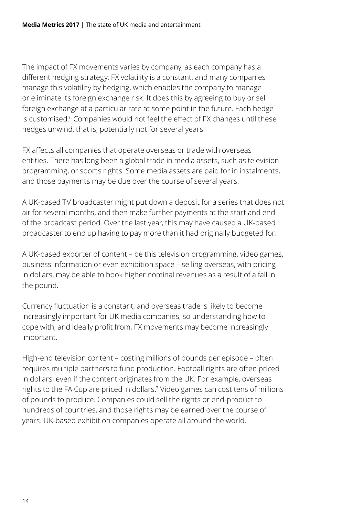The impact of FX movements varies by company, as each company has a different hedging strategy. FX volatility is a constant, and many companies manage this volatility by hedging, which enables the company to manage or eliminate its foreign exchange risk. It does this by agreeing to buy or sell foreign exchange at a particular rate at some point in the future. Each hedge is customised.6 Companies would not feel the effect of FX changes until these hedges unwind, that is, potentially not for several years.

FX affects all companies that operate overseas or trade with overseas entities. There has long been a global trade in media assets, such as television programming, or sports rights. Some media assets are paid for in instalments, and those payments may be due over the course of several years.

A UK-based TV broadcaster might put down a deposit for a series that does not air for several months, and then make further payments at the start and end of the broadcast period. Over the last year, this may have caused a UK-based broadcaster to end up having to pay more than it had originally budgeted for.

A UK-based exporter of content – be this television programming, video games, business information or even exhibition space – selling overseas, with pricing in dollars, may be able to book higher nominal revenues as a result of a fall in the pound.

Currency fluctuation is a constant, and overseas trade is likely to become increasingly important for UK media companies, so understanding how to cope with, and ideally profit from, FX movements may become increasingly important.

High-end television content – costing millions of pounds per episode – often requires multiple partners to fund production. Football rights are often priced in dollars, even if the content originates from the UK. For example, overseas rights to the FA Cup are priced in dollars.7 Video games can cost tens of millions of pounds to produce. Companies could sell the rights or end-product to hundreds of countries, and those rights may be earned over the course of years. UK-based exhibition companies operate all around the world.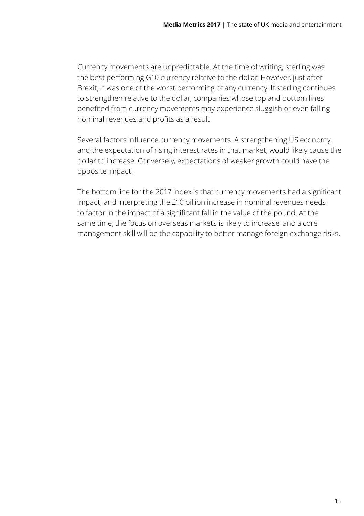Currency movements are unpredictable. At the time of writing, sterling was the best performing G10 currency relative to the dollar. However, just after Brexit, it was one of the worst performing of any currency. If sterling continues to strengthen relative to the dollar, companies whose top and bottom lines benefited from currency movements may experience sluggish or even falling nominal revenues and profits as a result.

Several factors influence currency movements. A strengthening US economy, and the expectation of rising interest rates in that market, would likely cause the dollar to increase. Conversely, expectations of weaker growth could have the opposite impact.

The bottom line for the 2017 index is that currency movements had a significant impact, and interpreting the £10 billion increase in nominal revenues needs to factor in the impact of a significant fall in the value of the pound. At the same time, the focus on overseas markets is likely to increase, and a core management skill will be the capability to better manage foreign exchange risks.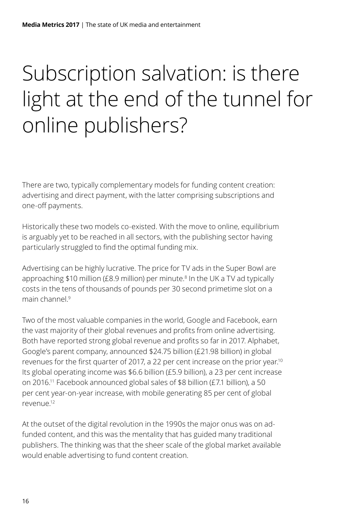# <span id="page-17-0"></span>Subscription salvation: is there light at the end of the tunnel for online publishers?

There are two, typically complementary models for funding content creation: advertising and direct payment, with the latter comprising subscriptions and one-off payments.

Historically these two models co-existed. With the move to online, equilibrium is arguably yet to be reached in all sectors, with the publishing sector having particularly struggled to find the optimal funding mix.

Advertising can be highly lucrative. The price for TV ads in the Super Bowl are approaching \$10 million (£8.9 million) per minute.<sup>8</sup> In the UK a TV ad typically costs in the tens of thousands of pounds per 30 second primetime slot on a main channel<sup>9</sup>

Two of the most valuable companies in the world, Google and Facebook, earn the vast majority of their global revenues and profits from online advertising. Both have reported strong global revenue and profits so far in 2017. Alphabet, Google's parent company, announced \$24.75 billion (£21.98 billion) in global revenues for the first quarter of 2017, a 22 per cent increase on the prior year.<sup>10</sup> Its global operating income was \$6.6 billion (£5.9 billion), a 23 per cent increase on 2016.11 Facebook announced global sales of \$8 billion (£7.1 billion), a 50 per cent year-on-year increase, with mobile generating 85 per cent of global revenue.12

At the outset of the digital revolution in the 1990s the major onus was on adfunded content, and this was the mentality that has guided many traditional publishers. The thinking was that the sheer scale of the global market available would enable advertising to fund content creation.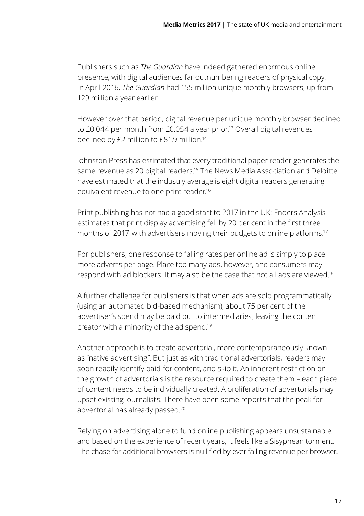Publishers such as *The Guardian* have indeed gathered enormous online presence, with digital audiences far outnumbering readers of physical copy. In April 2016, *The Guardian* had 155 million unique monthly browsers, up from 129 million a year earlier.

However over that period, digital revenue per unique monthly browser declined to £0.044 per month from £0.054 a year prior.<sup>13</sup> Overall digital revenues declined by £2 million to £81.9 million.14

Johnston Press has estimated that every traditional paper reader generates the same revenue as 20 digital readers.15 The News Media Association and Deloitte have estimated that the industry average is eight digital readers generating equivalent revenue to one print reader.16

Print publishing has not had a good start to 2017 in the UK: Enders Analysis estimates that print display advertising fell by 20 per cent in the first three months of 2017, with advertisers moving their budgets to online platforms.<sup>17</sup>

For publishers, one response to falling rates per online ad is simply to place more adverts per page. Place too many ads, however, and consumers may respond with ad blockers. It may also be the case that not all ads are viewed.18

A further challenge for publishers is that when ads are sold programmatically (using an automated bid-based mechanism), about 75 per cent of the advertiser's spend may be paid out to intermediaries, leaving the content creator with a minority of the ad spend.19

Another approach is to create advertorial, more contemporaneously known as "native advertising". But just as with traditional advertorials, readers may soon readily identify paid-for content, and skip it. An inherent restriction on the growth of advertorials is the resource required to create them – each piece of content needs to be individually created. A proliferation of advertorials may upset existing journalists. There have been some reports that the peak for advertorial has already passed.20

Relying on advertising alone to fund online publishing appears unsustainable, and based on the experience of recent years, it feels like a Sisyphean torment. The chase for additional browsers is nullified by ever falling revenue per browser.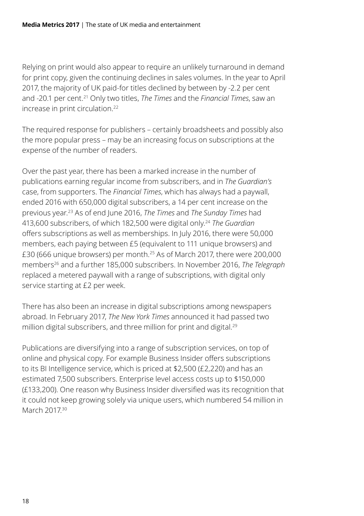Relying on print would also appear to require an unlikely turnaround in demand for print copy, given the continuing declines in sales volumes. In the year to April 2017, the majority of UK paid-for titles declined by between by -2.2 per cent and -20.1 per cent.21 Only two titles, *The Times* and the *Financial Times*, saw an increase in print circulation.<sup>22</sup>

The required response for publishers – certainly broadsheets and possibly also the more popular press – may be an increasing focus on subscriptions at the expense of the number of readers.

Over the past year, there has been a marked increase in the number of publications earning regular income from subscribers, and in *The Guardian's*  case, from supporters. The *Financial Times*, which has always had a paywall, ended 2016 with 650,000 digital subscribers, a 14 per cent increase on the previous year.23 As of end June 2016, *The Times* and *The Sunday Times* had 413,600 subscribers, of which 182,500 were digital only.24 *The Guardian* offers subscriptions as well as memberships. In July 2016, there were 50,000 members, each paying between £5 (equivalent to 111 unique browsers) and £30 (666 unique browsers) per month.25 As of March 2017, there were 200,000 members26 and a further 185,000 subscribers. In November 2016, *The Telegraph* replaced a metered paywall with a range of subscriptions, with digital only service starting at £2 per week.

There has also been an increase in digital subscriptions among newspapers abroad. In February 2017, *The New York Times* announced it had passed two million digital subscribers, and three million for print and digital.<sup>29</sup>

Publications are diversifying into a range of subscription services, on top of online and physical copy. For example Business Insider offers subscriptions to its BI Intelligence service, which is priced at \$2,500 (£2,220) and has an estimated 7,500 subscribers. Enterprise level access costs up to \$150,000 (£133,200). One reason why Business Insider diversified was its recognition that it could not keep growing solely via unique users, which numbered 54 million in March 2017<sup>30</sup>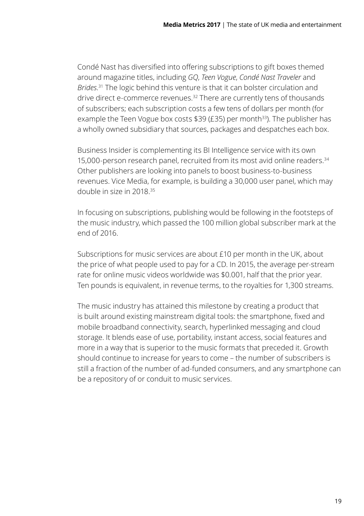Condé Nast has diversified into offering subscriptions to gift boxes themed around magazine titles, including *GQ*, *Teen Vogue*, *Condé Nast Traveler* and *Brides*. 31 The logic behind this venture is that it can bolster circulation and drive direct e-commerce revenues.<sup>32</sup> There are currently tens of thousands of subscribers; each subscription costs a few tens of dollars per month (for example the Teen Vogue box costs  $$39$  (£35) per month<sup>33</sup>). The publisher has a wholly owned subsidiary that sources, packages and despatches each box.

Business Insider is complementing its BI Intelligence service with its own 15,000-person research panel, recruited from its most avid online readers.34 Other publishers are looking into panels to boost business-to-business revenues. Vice Media, for example, is building a 30,000 user panel, which may double in size in 2018.35

In focusing on subscriptions, publishing would be following in the footsteps of the music industry, which passed the 100 million global subscriber mark at the end of 2016.

Subscriptions for music services are about £10 per month in the UK, about the price of what people used to pay for a CD. In 2015, the average per-stream rate for online music videos worldwide was \$0.001, half that the prior year. Ten pounds is equivalent, in revenue terms, to the royalties for 1,300 streams.

The music industry has attained this milestone by creating a product that is built around existing mainstream digital tools: the smartphone, fixed and mobile broadband connectivity, search, hyperlinked messaging and cloud storage. It blends ease of use, portability, instant access, social features and more in a way that is superior to the music formats that preceded it. Growth should continue to increase for years to come – the number of subscribers is still a fraction of the number of ad-funded consumers, and any smartphone can be a repository of or conduit to music services.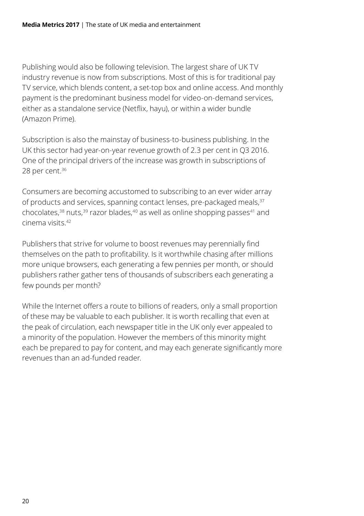Publishing would also be following television. The largest share of UK TV industry revenue is now from subscriptions. Most of this is for traditional pay TV service, which blends content, a set-top box and online access. And monthly payment is the predominant business model for video-on-demand services, either as a standalone service (Netflix, hayu), or within a wider bundle (Amazon Prime).

Subscription is also the mainstay of business-to-business publishing. In the UK this sector had year-on-year revenue growth of 2.3 per cent in Q3 2016. One of the principal drivers of the increase was growth in subscriptions of 28 per cent.36

Consumers are becoming accustomed to subscribing to an ever wider array of products and services, spanning contact lenses, pre-packaged meals, 37 chocolates, $38 \text{ nuts}$ ,  $39 \text{ razor blaces}$ ,  $40 \text{ as well as online shopping passes}$  and cinema visits.42

Publishers that strive for volume to boost revenues may perennially find themselves on the path to profitability. Is it worthwhile chasing after millions more unique browsers, each generating a few pennies per month, or should publishers rather gather tens of thousands of subscribers each generating a few pounds per month?

While the Internet offers a route to billions of readers, only a small proportion of these may be valuable to each publisher. It is worth recalling that even at the peak of circulation, each newspaper title in the UK only ever appealed to a minority of the population. However the members of this minority might each be prepared to pay for content, and may each generate significantly more revenues than an ad-funded reader.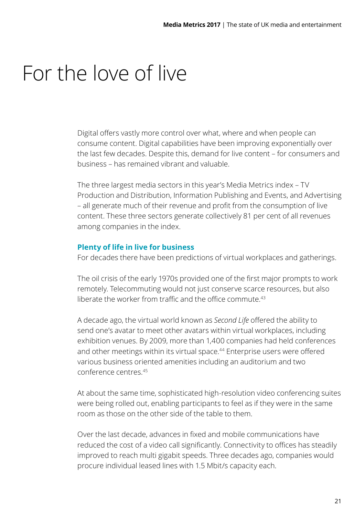### <span id="page-22-0"></span>For the love of live

Digital offers vastly more control over what, where and when people can consume content. Digital capabilities have been improving exponentially over the last few decades. Despite this, demand for live content – for consumers and business – has remained vibrant and valuable.

The three largest media sectors in this year's Media Metrics index – TV Production and Distribution, Information Publishing and Events, and Advertising – all generate much of their revenue and profit from the consumption of live content. These three sectors generate collectively 81 per cent of all revenues among companies in the index.

#### **Plenty of life in live for business**

For decades there have been predictions of virtual workplaces and gatherings.

The oil crisis of the early 1970s provided one of the first major prompts to work remotely. Telecommuting would not just conserve scarce resources, but also liberate the worker from traffic and the office commute  $43$ 

A decade ago, the virtual world known as *Second Life* offered the ability to send one's avatar to meet other avatars within virtual workplaces, including exhibition venues. By 2009, more than 1,400 companies had held conferences and other meetings within its virtual space.<sup>44</sup> Enterprise users were offered various business oriented amenities including an auditorium and two conference centres<sup>45</sup>

At about the same time, sophisticated high-resolution video conferencing suites were being rolled out, enabling participants to feel as if they were in the same room as those on the other side of the table to them.

Over the last decade, advances in fixed and mobile communications have reduced the cost of a video call significantly. Connectivity to offices has steadily improved to reach multi gigabit speeds. Three decades ago, companies would procure individual leased lines with 1.5 Mbit/s capacity each.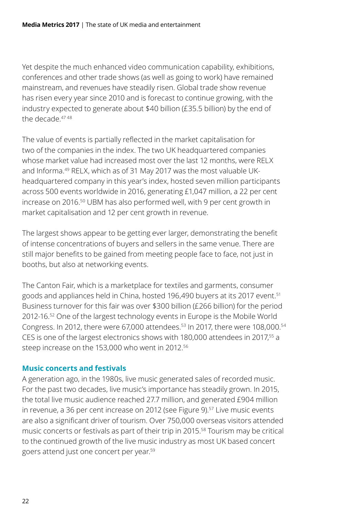Yet despite the much enhanced video communication capability, exhibitions, conferences and other trade shows (as well as going to work) have remained mainstream, and revenues have steadily risen. Global trade show revenue has risen every year since 2010 and is forecast to continue growing, with the industry expected to generate about \$40 billion (£35.5 billion) by the end of the decade 4748

The value of events is partially reflected in the market capitalisation for two of the companies in the index. The two UK headquartered companies whose market value had increased most over the last 12 months, were RELX and Informa.49 RELX, which as of 31 May 2017 was the most valuable UKheadquartered company in this year's index, hosted seven million participants across 500 events worldwide in 2016, generating £1,047 million, a 22 per cent increase on 2016.50 UBM has also performed well, with 9 per cent growth in market capitalisation and 12 per cent growth in revenue.

The largest shows appear to be getting ever larger, demonstrating the benefit of intense concentrations of buyers and sellers in the same venue. There are still major benefits to be gained from meeting people face to face, not just in booths, but also at networking events.

The Canton Fair, which is a marketplace for textiles and garments, consumer goods and appliances held in China, hosted 196,490 buvers at its 2017 event.<sup>51</sup> Business turnover for this fair was over \$300 billion (£266 billion) for the period 2012-16.52 One of the largest technology events in Europe is the Mobile World Congress. In 2012, there were 67,000 attendees.53 In 2017, there were 108,000.54 CES is one of the largest electronics shows with 180,000 attendees in 2017,55 a steep increase on the 153,000 who went in 2012.56

#### **Music concerts and festivals**

A generation ago, in the 1980s, live music generated sales of recorded music. For the past two decades, live music's importance has steadily grown. In 2015, the total live music audience reached 27.7 million, and generated £904 million in revenue, a 36 per cent increase on 2012 (see Figure 9).<sup>57</sup> Live music events are also a significant driver of tourism. Over 750,000 overseas visitors attended music concerts or festivals as part of their trip in 2015.58 Tourism may be critical to the continued growth of the live music industry as most UK based concert goers attend just one concert per year.59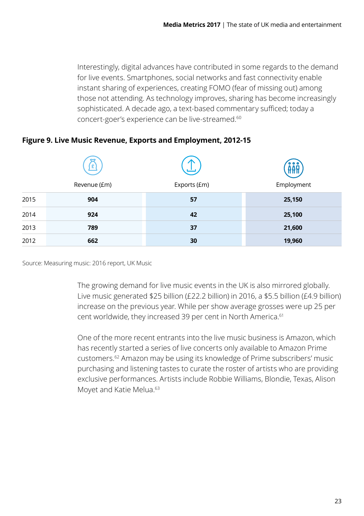Interestingly, digital advances have contributed in some regards to the demand for live events. Smartphones, social networks and fast connectivity enable instant sharing of experiences, creating FOMO (fear of missing out) among those not attending. As technology improves, sharing has become increasingly sophisticated. A decade ago, a text-based commentary sufficed; today a concert-goer's experience can be live-streamed.60

|      | £<br>Revenue (£m) | Exports (£m) | $\bullet\bullet\bullet$<br>Employment |
|------|-------------------|--------------|---------------------------------------|
| 2015 | 904               | 57           | 25,150                                |
| 2014 | 924               | 42           | 25,100                                |
| 2013 | 789               | 37           | 21,600                                |
| 2012 | 662               | 30           | 19,960                                |

#### **Figure 9. Live Music Revenue, Exports and Employment, 2012-15**

Source: Measuring music: 2016 report, UK Music

The growing demand for live music events in the UK is also mirrored globally. Live music generated \$25 billion (£22.2 billion) in 2016, a \$5.5 billion (£4.9 billion) increase on the previous year. While per show average grosses were up 25 per cent worldwide, they increased 39 per cent in North America.<sup>61</sup>

One of the more recent entrants into the live music business is Amazon, which has recently started a series of live concerts only available to Amazon Prime customers.62 Amazon may be using its knowledge of Prime subscribers' music purchasing and listening tastes to curate the roster of artists who are providing exclusive performances. Artists include Robbie Williams, Blondie, Texas, Alison Moyet and Katie Melua.<sup>63</sup>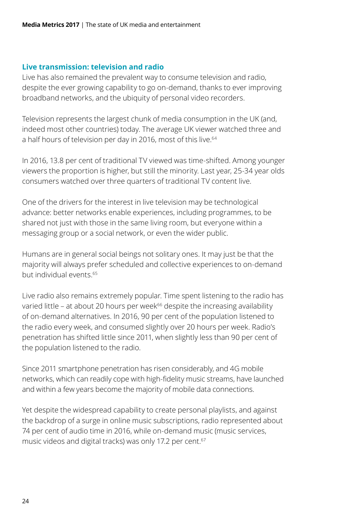#### **Live transmission: television and radio**

Live has also remained the prevalent way to consume television and radio, despite the ever growing capability to go on-demand, thanks to ever improving broadband networks, and the ubiquity of personal video recorders.

Television represents the largest chunk of media consumption in the UK (and, indeed most other countries) today. The average UK viewer watched three and a half hours of television per day in 2016, most of this live.<sup>64</sup>

In 2016, 13.8 per cent of traditional TV viewed was time-shifted. Among younger viewers the proportion is higher, but still the minority. Last year, 25-34 year olds consumers watched over three quarters of traditional TV content live.

One of the drivers for the interest in live television may be technological advance: better networks enable experiences, including programmes, to be shared not just with those in the same living room, but everyone within a messaging group or a social network, or even the wider public.

Humans are in general social beings not solitary ones. It may just be that the majority will always prefer scheduled and collective experiences to on-demand but individual events.65

Live radio also remains extremely popular. Time spent listening to the radio has varied little – at about 20 hours per week<sup>66</sup> despite the increasing availability of on-demand alternatives. In 2016, 90 per cent of the population listened to the radio every week, and consumed slightly over 20 hours per week. Radio's penetration has shifted little since 2011, when slightly less than 90 per cent of the population listened to the radio.

Since 2011 smartphone penetration has risen considerably, and 4G mobile networks, which can readily cope with high-fidelity music streams, have launched and within a few years become the majority of mobile data connections.

Yet despite the widespread capability to create personal playlists, and against the backdrop of a surge in online music subscriptions, radio represented about 74 per cent of audio time in 2016, while on-demand music (music services, music videos and digital tracks) was only 17.2 per cent.<sup>67</sup>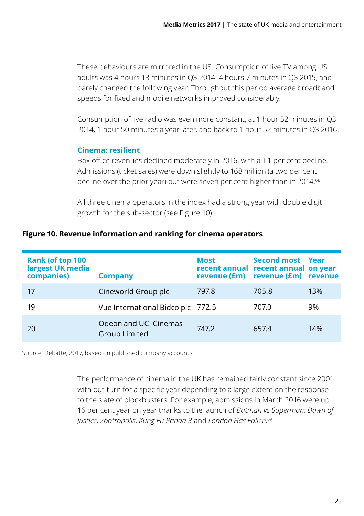These behaviours are mirrored in the US. Consumption of live TV among US adults was 4 hours 13 minutes in Q3 2014, 4 hours 7 minutes in Q3 2015, and barely changed the following year. Throughout this period average broadband speeds for fixed and mobile networks improved considerably.

Consumption of live radio was even more constant, at 1 hour 52 minutes in Q3 2014, 1 hour 50 minutes a year later, and back to 1 hour 52 minutes in Q3 2016.

#### **Cinema: resilient**

Box office revenues declined moderately in 2016, with a 1.1 per cent decline. Admissions (ticket sales) were down slightly to 168 million (a two per cent decline over the prior year) but were seven per cent higher than in 2014.<sup>68</sup>

All three cinema operators in the index had a strong year with double digit growth for the sub-sector (see Figure 10).

#### **Figure 10. Revenue information and ranking for cinema operators**

| <b>Rank (of top 100</b><br>largest UK media<br>companies) | <b>Company</b>                                | <b>Most</b> | Second most Year<br>recent annual recent annual on year<br>revenue (£m) revenue (£m) revenue |     |
|-----------------------------------------------------------|-----------------------------------------------|-------------|----------------------------------------------------------------------------------------------|-----|
| 17                                                        | Cineworld Group plc                           | 797.8       | 705.8                                                                                        | 13% |
| 19                                                        | Vue International Bidco plc 772.5             |             | 707.0                                                                                        | 9%  |
| 20                                                        | Odeon and UCI Cinemas<br><b>Group Limited</b> | 747.2       | 657.4                                                                                        | 14% |

Source: Deloitte, 2017, based on published company accounts

The performance of cinema in the UK has remained fairly constant since 2001 with out-turn for a specific year depending to a large extent on the response to the slate of blockbusters. For example, admissions in March 2016 were up 16 per cent year on year thanks to the launch of *Batman vs Superman: Dawn of Justice*, *Zootropolis*, *Kung Fu Panda 3* and *London Has Fallen*. 69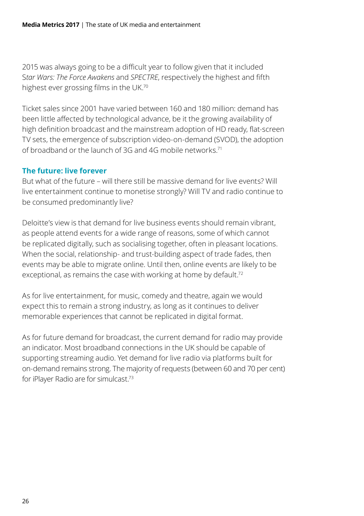2015 was always going to be a difficult year to follow given that it included S*tar Wars: The Force Awakens* and *SPECTRE*, respectively the highest and fifth highest ever grossing films in the UK.<sup>70</sup>

Ticket sales since 2001 have varied between 160 and 180 million: demand has been little affected by technological advance, be it the growing availability of high definition broadcast and the mainstream adoption of HD ready, flat-screen TV sets, the emergence of subscription video-on-demand (SVOD), the adoption of broadband or the launch of 3G and 4G mobile networks.<sup>71</sup>

#### **The future: live forever**

But what of the future – will there still be massive demand for live events? Will live entertainment continue to monetise strongly? Will TV and radio continue to be consumed predominantly live?

Deloitte's view is that demand for live business events should remain vibrant, as people attend events for a wide range of reasons, some of which cannot be replicated digitally, such as socialising together, often in pleasant locations. When the social, relationship- and trust-building aspect of trade fades, then events may be able to migrate online. Until then, online events are likely to be exceptional, as remains the case with working at home by default.<sup>72</sup>

As for live entertainment, for music, comedy and theatre, again we would expect this to remain a strong industry, as long as it continues to deliver memorable experiences that cannot be replicated in digital format.

As for future demand for broadcast, the current demand for radio may provide an indicator. Most broadband connections in the UK should be capable of supporting streaming audio. Yet demand for live radio via platforms built for on-demand remains strong. The majority of requests (between 60 and 70 per cent) for iPlayer Radio are for simulcast.73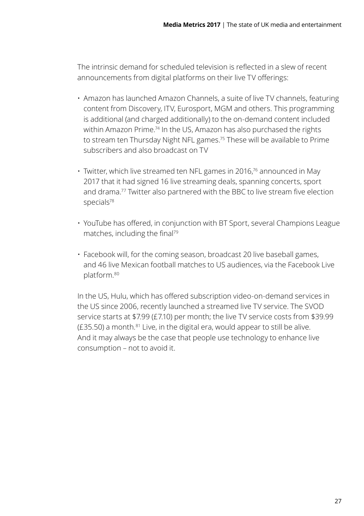The intrinsic demand for scheduled television is reflected in a slew of recent announcements from digital platforms on their live TV offerings:

- Amazon has launched Amazon Channels, a suite of live TV channels, featuring content from Discovery, ITV, Eurosport, MGM and others. This programming is additional (and charged additionally) to the on-demand content included within Amazon Prime.<sup>74</sup> In the US, Amazon has also purchased the rights to stream ten Thursday Night NFL games.75 These will be available to Prime subscribers and also broadcast on TV
- Twitter, which live streamed ten NFL games in 2016,<sup>76</sup> announced in May 2017 that it had signed 16 live streaming deals, spanning concerts, sport and drama.77 Twitter also partnered with the BBC to live stream five election specials<sup>78</sup>
- YouTube has offered, in conjunction with BT Sport, several Champions League matches, including the final<sup>79</sup>
- Facebook will, for the coming season, broadcast 20 live baseball games, and 46 live Mexican football matches to US audiences, via the Facebook Live platform.80

In the US, Hulu, which has offered subscription video-on-demand services in the US since 2006, recently launched a streamed live TV service. The SVOD service starts at \$7.99 (£7.10) per month; the live TV service costs from \$39.99  $(£35.50)$  a month. $81$  Live, in the digital era, would appear to still be alive. And it may always be the case that people use technology to enhance live consumption – not to avoid it.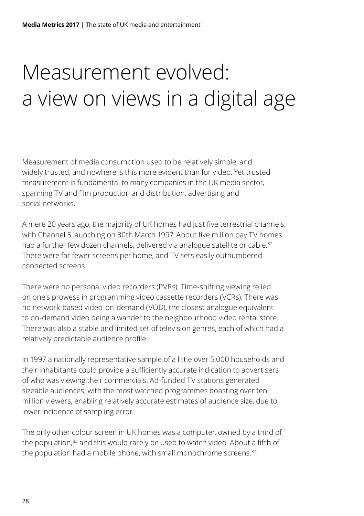# <span id="page-29-0"></span>Measurement evolved: a view on views in a digital age

Measurement of media consumption used to be relatively simple, and widely trusted, and nowhere is this more evident than for video. Yet trusted measurement is fundamental to many companies in the UK media sector, spanning TV and film production and distribution, advertising and social networks.

A mere 20 years ago, the majority of UK homes had just five terrestrial channels, with Channel 5 launching on 30th March 1997. About five million pay TV homes had a further few dozen channels, delivered via analogue satellite or cable.<sup>82</sup> There were far fewer screens per home, and TV sets easily outnumbered connected screens.

There were no personal video recorders (PVRs). Time-shifting viewing relied on one's prowess in programming video cassette recorders (VCRs). There was no network-based video-on-demand (VOD), the closest analogue equivalent to on-demand video being a wander to the neighbourhood video rental store. There was also a stable and limited set of television genres, each of which had a relatively predictable audience profile.

In 1997 a nationally representative sample of a little over 5,000 households and their inhabitants could provide a sufficiently accurate indication to advertisers of who was viewing their commercials. Ad-funded TV stations generated sizeable audiences, with the most watched programmes boasting over ten million viewers, enabling relatively accurate estimates of audience size, due to lower incidence of sampling error.

The only other colour screen in UK homes was a computer, owned by a third of the population.<sup>83</sup> and this would rarely be used to watch video. About a fifth of the population had a mobile phone, with small monochrome screens.<sup>84</sup>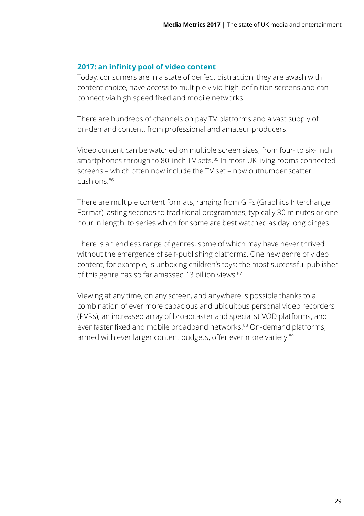#### **2017: an infinity pool of video content**

Today, consumers are in a state of perfect distraction: they are awash with content choice, have access to multiple vivid high-definition screens and can connect via high speed fixed and mobile networks.

There are hundreds of channels on pay TV platforms and a vast supply of on-demand content, from professional and amateur producers.

Video content can be watched on multiple screen sizes, from four- to six- inch smartphones through to 80-inch TV sets.<sup>85</sup> In most UK living rooms connected screens – which often now include the TV set – now outnumber scatter cushions.86

There are multiple content formats, ranging from GIFs (Graphics Interchange Format) lasting seconds to traditional programmes, typically 30 minutes or one hour in length, to series which for some are best watched as day long binges.

There is an endless range of genres, some of which may have never thrived without the emergence of self-publishing platforms. One new genre of video content, for example, is unboxing children's toys: the most successful publisher of this genre has so far amassed 13 billion views.<sup>87</sup>

Viewing at any time, on any screen, and anywhere is possible thanks to a combination of ever more capacious and ubiquitous personal video recorders (PVRs), an increased array of broadcaster and specialist VOD platforms, and ever faster fixed and mobile broadband networks.<sup>88</sup> On-demand platforms, armed with ever larger content budgets, offer ever more variety.<sup>89</sup>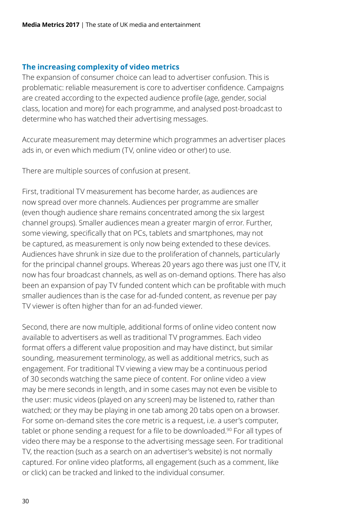#### **The increasing complexity of video metrics**

The expansion of consumer choice can lead to advertiser confusion. This is problematic: reliable measurement is core to advertiser confidence. Campaigns are created according to the expected audience profile (age, gender, social class, location and more) for each programme, and analysed post-broadcast to determine who has watched their advertising messages.

Accurate measurement may determine which programmes an advertiser places ads in, or even which medium (TV, online video or other) to use.

There are multiple sources of confusion at present.

First, traditional TV measurement has become harder, as audiences are now spread over more channels. Audiences per programme are smaller (even though audience share remains concentrated among the six largest channel groups). Smaller audiences mean a greater margin of error. Further, some viewing, specifically that on PCs, tablets and smartphones, may not be captured, as measurement is only now being extended to these devices. Audiences have shrunk in size due to the proliferation of channels, particularly for the principal channel groups. Whereas 20 years ago there was just one ITV, it now has four broadcast channels, as well as on-demand options. There has also been an expansion of pay TV funded content which can be profitable with much smaller audiences than is the case for ad-funded content, as revenue per pay TV viewer is often higher than for an ad-funded viewer.

Second, there are now multiple, additional forms of online video content now available to advertisers as well as traditional TV programmes. Each video format offers a different value proposition and may have distinct, but similar sounding, measurement terminology, as well as additional metrics, such as engagement. For traditional TV viewing a view may be a continuous period of 30 seconds watching the same piece of content. For online video a view may be mere seconds in length, and in some cases may not even be visible to the user: music videos (played on any screen) may be listened to, rather than watched; or they may be playing in one tab among 20 tabs open on a browser. For some on-demand sites the core metric is a request, i.e. a user's computer, tablet or phone sending a request for a file to be downloaded.<sup>90</sup> For all types of video there may be a response to the advertising message seen. For traditional TV, the reaction (such as a search on an advertiser's website) is not normally captured. For online video platforms, all engagement (such as a comment, like or click) can be tracked and linked to the individual consumer.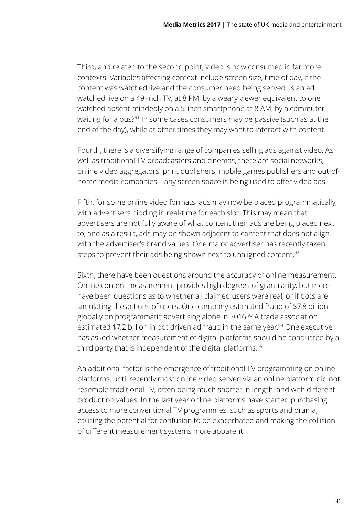Third, and related to the second point, video is now consumed in far more contexts. Variables affecting context include screen size, time of day, if the content was watched live and the consumer need being served. Is an ad watched live on a 49-inch TV, at 8 PM, by a weary viewer equivalent to one watched absent-mindedly on a 5-inch smartphone at 8 AM, by a commuter waiting for a bus?91 In some cases consumers may be passive (such as at the end of the day), while at other times they may want to interact with content.

Fourth, there is a diversifying range of companies selling ads against video. As well as traditional TV broadcasters and cinemas, there are social networks, online video aggregators, print publishers, mobile games publishers and out-ofhome media companies – any screen space is being used to offer video ads.

Fifth, for some online video formats, ads may now be placed programmatically, with advertisers bidding in real-time for each slot. This may mean that advertisers are not fully aware of what content their ads are being placed next to, and as a result, ads may be shown adjacent to content that does not align with the advertiser's brand values. One major advertiser has recently taken steps to prevent their ads being shown next to unaligned content.<sup>92</sup>

Sixth, there have been questions around the accuracy of online measurement. Online content measurement provides high degrees of granularity, but there have been questions as to whether all claimed users were real, or if bots are simulating the actions of users. One company estimated fraud of \$7.8 billion globally on programmatic advertising alone in 2016.<sup>93</sup> A trade association estimated \$7.2 billion in bot driven ad fraud in the same year.<sup>94</sup> One executive has asked whether measurement of digital platforms should be conducted by a third party that is independent of the digital platforms.<sup>95</sup>

An additional factor is the emergence of traditional TV programming on online platforms: until recently most online video served via an online platform did not resemble traditional TV, often being much shorter in length, and with different production values. In the last year online platforms have started purchasing access to more conventional TV programmes, such as sports and drama, causing the potential for confusion to be exacerbated and making the collision of different measurement systems more apparent.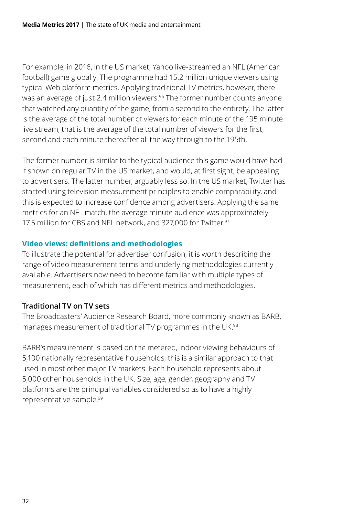For example, in 2016, in the US market, Yahoo live-streamed an NFL (American football) game globally. The programme had 15.2 million unique viewers using typical Web platform metrics. Applying traditional TV metrics, however, there was an average of just 2.4 million viewers.<sup>96</sup> The former number counts anyone that watched any quantity of the game, from a second to the entirety. The latter is the average of the total number of viewers for each minute of the 195 minute live stream, that is the average of the total number of viewers for the first, second and each minute thereafter all the way through to the 195th.

The former number is similar to the typical audience this game would have had if shown on regular TV in the US market, and would, at first sight, be appealing to advertisers. The latter number, arguably less so. In the US market, Twitter has started using television measurement principles to enable comparability, and this is expected to increase confidence among advertisers. Applying the same metrics for an NFL match, the average minute audience was approximately 17.5 million for CBS and NFL network, and 327,000 for Twitter.<sup>97</sup>

#### **Video views: definitions and methodologies**

To illustrate the potential for advertiser confusion, it is worth describing the range of video measurement terms and underlying methodologies currently available. Advertisers now need to become familiar with multiple types of measurement, each of which has different metrics and methodologies.

#### **Traditional TV on TV sets**

The Broadcasters' Audience Research Board, more commonly known as BARB, manages measurement of traditional TV programmes in the UK.98

BARB's measurement is based on the metered, indoor viewing behaviours of 5,100 nationally representative households; this is a similar approach to that used in most other major TV markets. Each household represents about 5,000 other households in the UK. Size, age, gender, geography and TV platforms are the principal variables considered so as to have a highly representative sample.99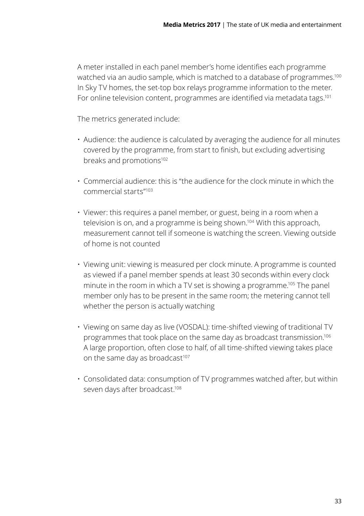A meter installed in each panel member's home identifies each programme watched via an audio sample, which is matched to a database of programmes.<sup>100</sup> In Sky TV homes, the set-top box relays programme information to the meter. For online television content, programmes are identified via metadata tags.<sup>101</sup>

The metrics generated include:

- Audience: the audience is calculated by averaging the audience for all minutes covered by the programme, from start to finish, but excluding advertising breaks and promotions<sup>102</sup>
- Commercial audience: this is "the audience for the clock minute in which the commercial starts"103
- Viewer: this requires a panel member, or guest, being in a room when a television is on, and a programme is being shown.104 With this approach, measurement cannot tell if someone is watching the screen. Viewing outside of home is not counted
- Viewing unit: viewing is measured per clock minute. A programme is counted as viewed if a panel member spends at least 30 seconds within every clock minute in the room in which a TV set is showing a programme.105 The panel member only has to be present in the same room; the metering cannot tell whether the person is actually watching
- Viewing on same day as live (VOSDAL): time-shifted viewing of traditional TV programmes that took place on the same day as broadcast transmission.106 A large proportion, often close to half, of all time-shifted viewing takes place on the same day as broadcast<sup>107</sup>
- Consolidated data: consumption of TV programmes watched after, but within seven days after broadcast.<sup>108</sup>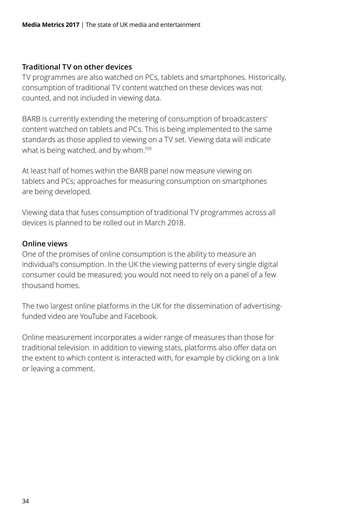#### **Traditional TV on other devices**

TV programmes are also watched on PCs, tablets and smartphones. Historically, consumption of traditional TV content watched on these devices was not counted, and not included in viewing data.

BARB is currently extending the metering of consumption of broadcasters' content watched on tablets and PCs. This is being implemented to the same standards as those applied to viewing on a TV set. Viewing data will indicate what is being watched, and by whom.<sup>109</sup>

At least half of homes within the BARB panel now measure viewing on tablets and PCs; approaches for measuring consumption on smartphones are being developed.

Viewing data that fuses consumption of traditional TV programmes across all devices is planned to be rolled out in March 2018.

#### **Online views**

One of the promises of online consumption is the ability to measure an individual's consumption. In the UK the viewing patterns of every single digital consumer could be measured; you would not need to rely on a panel of a few thousand homes.

The two largest online platforms in the UK for the dissemination of advertisingfunded video are YouTube and Facebook.

Online measurement incorporates a wider range of measures than those for traditional television. In addition to viewing stats, platforms also offer data on the extent to which content is interacted with, for example by clicking on a link or leaving a comment.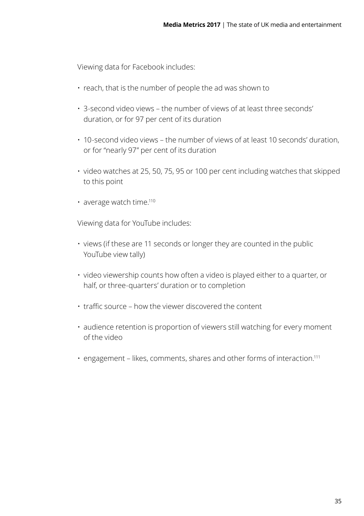Viewing data for Facebook includes:

- reach, that is the number of people the ad was shown to
- 3-second video views the number of views of at least three seconds' duration, or for 97 per cent of its duration
- 10-second video views the number of views of at least 10 seconds' duration, or for "nearly 97" per cent of its duration
- video watches at 25, 50, 75, 95 or 100 per cent including watches that skipped to this point
- average watch time.<sup>110</sup>

Viewing data for YouTube includes:

- views (if these are 11 seconds or longer they are counted in the public YouTube view tally)
- video viewership counts how often a video is played either to a quarter, or half, or three-quarters' duration or to completion
- traffic source how the viewer discovered the content
- audience retention is proportion of viewers still watching for every moment of the video
- engagement likes, comments, shares and other forms of interaction.111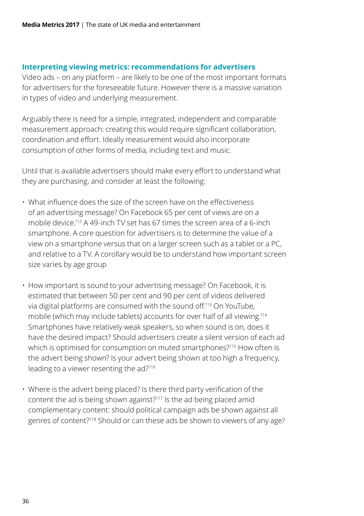#### **Interpreting viewing metrics: recommendations for advertisers**

Video ads – on any platform – are likely to be one of the most important formats for advertisers for the foreseeable future. However there is a massive variation in types of video and underlying measurement.

Arguably there is need for a simple, integrated, independent and comparable measurement approach: creating this would require significant collaboration, coordination and effort. Ideally measurement would also incorporate consumption of other forms of media, including text and music.

Until that is available advertisers should make every effort to understand what they are purchasing, and consider at least the following:

- What influence does the size of the screen have on the effectiveness of an advertising message? On Facebook 65 per cent of views are on a mobile device.112 A 49-inch TV set has 67 times the screen area of a 6-inch smartphone. A core question for advertisers is to determine the value of a view on a smartphone versus that on a larger screen such as a tablet or a PC, and relative to a TV. A corollary would be to understand how important screen size varies by age group
- How important is sound to your advertising message? On Facebook, it is estimated that between 50 per cent and 90 per cent of videos delivered via digital platforms are consumed with the sound off.113 On YouTube, mobile (which may include tablets) accounts for over half of all viewing.114 Smartphones have relatively weak speakers, so when sound is on, does it have the desired impact? Should advertisers create a silent version of each ad which is optimised for consumption on muted smartphones?<sup>115</sup> How often is the advert being shown? Is your advert being shown at too high a frequency, leading to a viewer resenting the ad?116
- Where is the advert being placed? Is there third party verification of the content the ad is being shown against?117 Is the ad being placed amid complementary content: should political campaign ads be shown against all genres of content?118 Should or can these ads be shown to viewers of any age?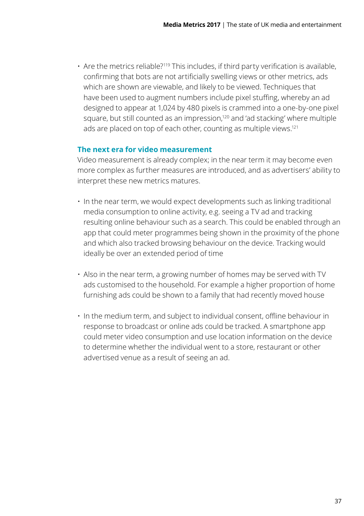• Are the metrics reliable?<sup>119</sup> This includes, if third party verification is available, confirming that bots are not artificially swelling views or other metrics, ads which are shown are viewable, and likely to be viewed. Techniques that have been used to augment numbers include pixel stuffing, whereby an ad designed to appear at 1,024 by 480 pixels is crammed into a one-by-one pixel square, but still counted as an impression,120 and 'ad stacking' where multiple ads are placed on top of each other, counting as multiple views.<sup>121</sup>

#### **The next era for video measurement**

Video measurement is already complex; in the near term it may become even more complex as further measures are introduced, and as advertisers' ability to interpret these new metrics matures.

- In the near term, we would expect developments such as linking traditional media consumption to online activity, e.g. seeing a TV ad and tracking resulting online behaviour such as a search. This could be enabled through an app that could meter programmes being shown in the proximity of the phone and which also tracked browsing behaviour on the device. Tracking would ideally be over an extended period of time
- Also in the near term, a growing number of homes may be served with TV ads customised to the household. For example a higher proportion of home furnishing ads could be shown to a family that had recently moved house
- In the medium term, and subject to individual consent, offline behaviour in response to broadcast or online ads could be tracked. A smartphone app could meter video consumption and use location information on the device to determine whether the individual went to a store, restaurant or other advertised venue as a result of seeing an ad.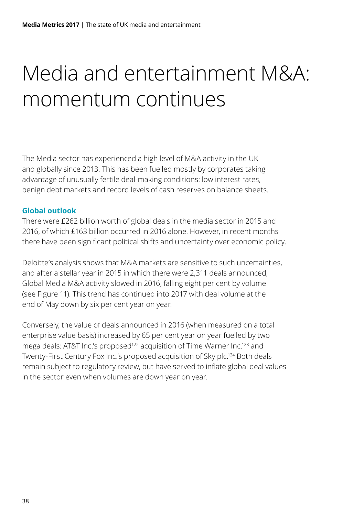# <span id="page-39-0"></span>Media and entertainment M&A: momentum continues

The Media sector has experienced a high level of M&A activity in the UK and globally since 2013. This has been fuelled mostly by corporates taking advantage of unusually fertile deal-making conditions: low interest rates, benign debt markets and record levels of cash reserves on balance sheets.

#### **Global outlook**

There were £262 billion worth of global deals in the media sector in 2015 and 2016, of which £163 billion occurred in 2016 alone. However, in recent months there have been significant political shifts and uncertainty over economic policy.

Deloitte's analysis shows that M&A markets are sensitive to such uncertainties, and after a stellar year in 2015 in which there were 2,311 deals announced, Global Media M&A activity slowed in 2016, falling eight per cent by volume (see Figure 11). This trend has continued into 2017 with deal volume at the end of May down by six per cent year on year.

Conversely, the value of deals announced in 2016 (when measured on a total enterprise value basis) increased by 65 per cent year on year fuelled by two mega deals: AT&T Inc.'s proposed<sup>122</sup> acquisition of Time Warner Inc.<sup>123</sup> and Twenty-First Century Fox Inc.'s proposed acquisition of Sky plc.124 Both deals remain subject to regulatory review, but have served to inflate global deal values in the sector even when volumes are down year on year.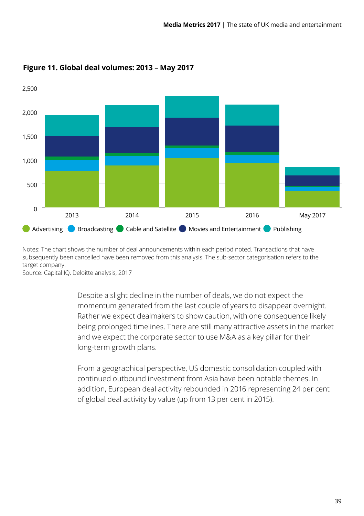

#### **Figure 11. Global deal volumes: 2013 – May 2017**

Notes: The chart shows the number of deal announcements within each period noted. Transactions that have subsequently been cancelled have been removed from this analysis. The sub-sector categorisation refers to the target company.

Source: Capital IQ, Deloitte analysis, 2017

Despite a slight decline in the number of deals, we do not expect the momentum generated from the last couple of years to disappear overnight. Rather we expect dealmakers to show caution, with one consequence likely being prolonged timelines. There are still many attractive assets in the market and we expect the corporate sector to use M&A as a key pillar for their long-term growth plans.

From a geographical perspective, US domestic consolidation coupled with continued outbound investment from Asia have been notable themes. In addition, European deal activity rebounded in 2016 representing 24 per cent of global deal activity by value (up from 13 per cent in 2015).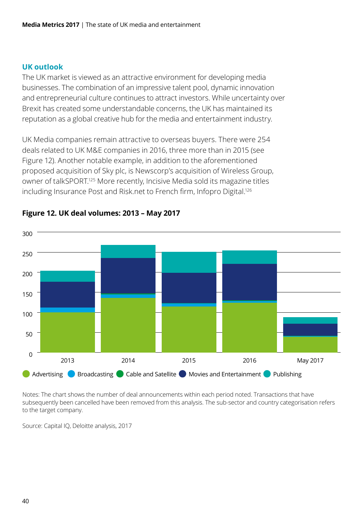#### **UK outlook**

The UK market is viewed as an attractive environment for developing media businesses. The combination of an impressive talent pool, dynamic innovation and entrepreneurial culture continues to attract investors. While uncertainty over Brexit has created some understandable concerns, the UK has maintained its reputation as a global creative hub for the media and entertainment industry.

UK Media companies remain attractive to overseas buyers. There were 254 deals related to UK M&E companies in 2016, three more than in 2015 (see Figure 12). Another notable example, in addition to the aforementioned proposed acquisition of Sky plc, is Newscorp's acquisition of Wireless Group, owner of talkSPORT.125 More recently, Incisive Media sold its magazine titles including Insurance Post and Risk.net to French firm, Infopro Digital.<sup>126</sup>



#### **Figure 12. UK deal volumes: 2013 – May 2017**

Notes: The chart shows the number of deal announcements within each period noted. Transactions that have subsequently been cancelled have been removed from this analysis. The sub-sector and country categorisation refers to the target company.

Source: Capital IQ, Deloitte analysis, 2017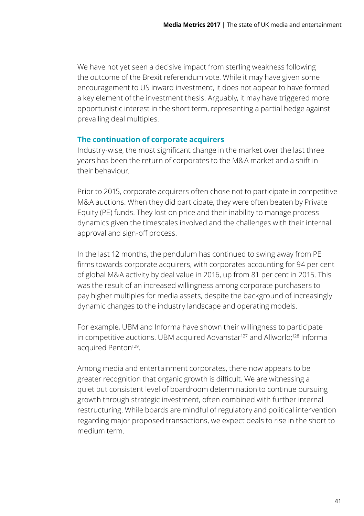We have not yet seen a decisive impact from sterling weakness following the outcome of the Brexit referendum vote. While it may have given some encouragement to US inward investment, it does not appear to have formed a key element of the investment thesis. Arguably, it may have triggered more opportunistic interest in the short term, representing a partial hedge against prevailing deal multiples.

#### **The continuation of corporate acquirers**

Industry-wise, the most significant change in the market over the last three years has been the return of corporates to the M&A market and a shift in their behaviour.

Prior to 2015, corporate acquirers often chose not to participate in competitive M&A auctions. When they did participate, they were often beaten by Private Equity (PE) funds. They lost on price and their inability to manage process dynamics given the timescales involved and the challenges with their internal approval and sign-off process.

In the last 12 months, the pendulum has continued to swing away from PE firms towards corporate acquirers, with corporates accounting for 94 per cent of global M&A activity by deal value in 2016, up from 81 per cent in 2015. This was the result of an increased willingness among corporate purchasers to pay higher multiples for media assets, despite the background of increasingly dynamic changes to the industry landscape and operating models.

For example, UBM and Informa have shown their willingness to participate in competitive auctions. UBM acquired Advanstar<sup>127</sup> and Allworld;<sup>128</sup> Informa acquired Penton<sup>129</sup>.

Among media and entertainment corporates, there now appears to be greater recognition that organic growth is difficult. We are witnessing a quiet but consistent level of boardroom determination to continue pursuing growth through strategic investment, often combined with further internal restructuring. While boards are mindful of regulatory and political intervention regarding major proposed transactions, we expect deals to rise in the short to medium term.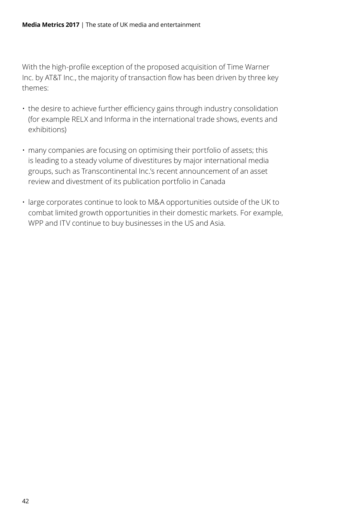With the high-profile exception of the proposed acquisition of Time Warner Inc. by AT&T Inc., the majority of transaction flow has been driven by three key themes:

- the desire to achieve further efficiency gains through industry consolidation (for example RELX and Informa in the international trade shows, events and exhibitions)
- many companies are focusing on optimising their portfolio of assets; this is leading to a steady volume of divestitures by major international media groups, such as Transcontinental Inc.'s recent announcement of an asset review and divestment of its publication portfolio in Canada
- large corporates continue to look to M&A opportunities outside of the UK to combat limited growth opportunities in their domestic markets. For example, WPP and ITV continue to buy businesses in the US and Asia.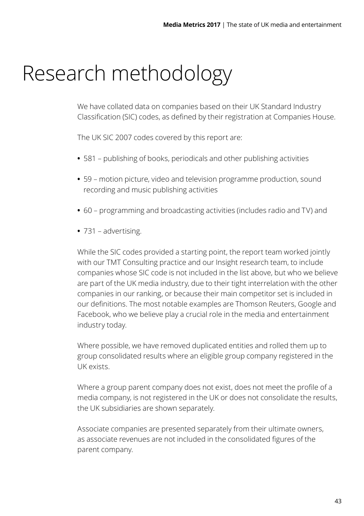### <span id="page-44-0"></span>Research methodology

We have collated data on companies based on their UK Standard Industry Classification (SIC) codes, as defined by their registration at Companies House.

The UK SIC 2007 codes covered by this report are:

- **•** 581 publishing of books, periodicals and other publishing activities
- **•** 59 motion picture, video and television programme production, sound recording and music publishing activities
- **•** 60 programming and broadcasting activities (includes radio and TV) and
- **•** 731 advertising.

While the SIC codes provided a starting point, the report team worked jointly with our TMT Consulting practice and our Insight research team, to include companies whose SIC code is not included in the list above, but who we believe are part of the UK media industry, due to their tight interrelation with the other companies in our ranking, or because their main competitor set is included in our definitions. The most notable examples are Thomson Reuters, Google and Facebook, who we believe play a crucial role in the media and entertainment industry today.

Where possible, we have removed duplicated entities and rolled them up to group consolidated results where an eligible group company registered in the UK exists.

Where a group parent company does not exist, does not meet the profile of a media company, is not registered in the UK or does not consolidate the results, the UK subsidiaries are shown separately.

Associate companies are presented separately from their ultimate owners, as associate revenues are not included in the consolidated figures of the parent company.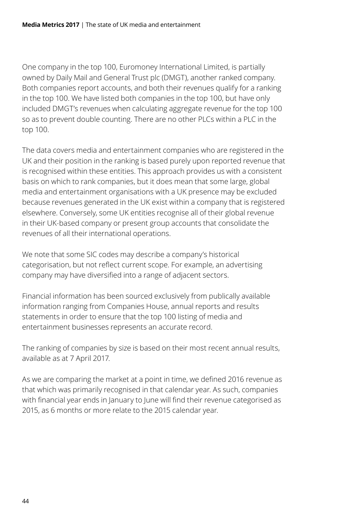One company in the top 100, Euromoney International Limited, is partially owned by Daily Mail and General Trust plc (DMGT), another ranked company. Both companies report accounts, and both their revenues qualify for a ranking in the top 100. We have listed both companies in the top 100, but have only included DMGT's revenues when calculating aggregate revenue for the top 100 so as to prevent double counting. There are no other PLCs within a PLC in the top 100.

The data covers media and entertainment companies who are registered in the UK and their position in the ranking is based purely upon reported revenue that is recognised within these entities. This approach provides us with a consistent basis on which to rank companies, but it does mean that some large, global media and entertainment organisations with a UK presence may be excluded because revenues generated in the UK exist within a company that is registered elsewhere. Conversely, some UK entities recognise all of their global revenue in their UK-based company or present group accounts that consolidate the revenues of all their international operations.

We note that some SIC codes may describe a company's historical categorisation, but not reflect current scope. For example, an advertising company may have diversified into a range of adjacent sectors.

Financial information has been sourced exclusively from publically available information ranging from Companies House, annual reports and results statements in order to ensure that the top 100 listing of media and entertainment businesses represents an accurate record.

The ranking of companies by size is based on their most recent annual results, available as at 7 April 2017.

As we are comparing the market at a point in time, we defined 2016 revenue as that which was primarily recognised in that calendar year. As such, companies with financial year ends in January to June will find their revenue categorised as 2015, as 6 months or more relate to the 2015 calendar year.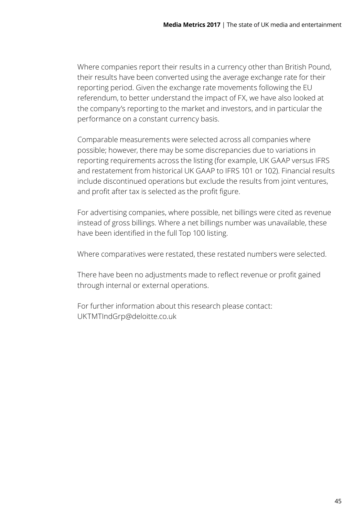Where companies report their results in a currency other than British Pound, their results have been converted using the average exchange rate for their reporting period. Given the exchange rate movements following the EU referendum, to better understand the impact of FX, we have also looked at the company's reporting to the market and investors, and in particular the performance on a constant currency basis.

Comparable measurements were selected across all companies where possible; however, there may be some discrepancies due to variations in reporting requirements across the listing (for example, UK GAAP versus IFRS and restatement from historical UK GAAP to IFRS 101 or 102). Financial results include discontinued operations but exclude the results from joint ventures, and profit after tax is selected as the profit figure.

For advertising companies, where possible, net billings were cited as revenue instead of gross billings. Where a net billings number was unavailable, these have been identified in the full Top 100 listing.

Where comparatives were restated, these restated numbers were selected.

There have been no adjustments made to reflect revenue or profit gained through internal or external operations.

For further information about this research please contact: [UKTMTIndGrp@deloitte.co.uk](mailto:UKTMTIndGrp%40deloitte.co.uk%20?subject=)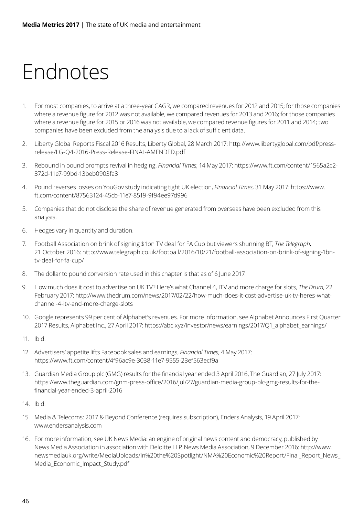## <span id="page-47-0"></span>Endnotes

- 1. For most companies, to arrive at a three-year CAGR, we compared revenues for 2012 and 2015; for those companies where a revenue figure for 2012 was not available, we compared revenues for 2013 and 2016; for those companies where a revenue figure for 2015 or 2016 was not available, we compared revenue figures for 2011 and 2014; two companies have been excluded from the analysis due to a lack of sufficient data.
- 2. Liberty Global Reports Fiscal 2016 Results, Liberty Global, 28 March 2017: http://www.libertyglobal.com/pdf/pressrelease/LG-Q4-2016-Press-Release-FINAL-AMENDED.pdf
- 3. Rebound in pound prompts revival in hedging, *Financial Times*, 14 May 2017: https://www.ft.com/content/1565a2c2- 372d-11e7-99bd-13beb0903fa3
- 4. Pound reverses losses on YouGov study indicating tight UK election, *Financial Times*, 31 May 2017: https://www. ft.com/content/87563124-45cb-11e7-8519-9f94ee97d996
- 5. Companies that do not disclose the share of revenue generated from overseas have been excluded from this analysis.
- 6. Hedges vary in quantity and duration.
- 7. Football Association on brink of signing \$1bn TV deal for FA Cup but viewers shunning BT, *The Telegraph*, 21 October 2016: http://www.telegraph.co.uk/football/2016/10/21/football-association-on-brink-of-signing-1bntv-deal-for-fa-cup/
- 8. The dollar to pound conversion rate used in this chapter is that as of 6 June 2017.
- 9. How much does it cost to advertise on UK TV? Here's what Channel 4, ITV and more charge for slots, *The Drum*, 22 February 2017: http://www.thedrum.com/news/2017/02/22/how-much-does-it-cost-advertise-uk-tv-heres-whatchannel-4-itv-and-more-charge-slots
- 10. Google represents 99 per cent of Alphabet's revenues. For more information, see Alphabet Announces First Quarter 2017 Results, Alphabet Inc., 27 April 2017: https://abc.xyz/investor/news/earnings/2017/Q1\_alphabet\_earnings/
- 11. Ibid.
- 12. Advertisers' appetite lifts Facebook sales and earnings, *Financial Times*, 4 May 2017: https://www.ft.com/content/4f96ac9e-3038-11e7-9555-23ef563ecf9a
- 13. Guardian Media Group plc (GMG) results for the financial year ended 3 April 2016, The Guardian, 27 July 2017: https://www.theguardian.com/gnm-press-office/2016/jul/27/guardian-media-group-plc-gmg-results-for-thefinancial-year-ended-3-april-2016
- 14. Ibid.
- 15. Media & Telecoms: 2017 & Beyond Conference (requires subscription), Enders Analysis, 19 April 2017: www.endersanalysis.com
- 16. For more information, see UK News Media: an engine of original news content and democracy, published by News Media Association in association with Deloitte LLP, News Media Association, 9 December 2016: http://www. newsmediauk.org/write/MediaUploads/In%20the%20Spotlight/NMA%20Economic%20Report/Final\_Report\_News\_ Media\_Economic\_Impact\_Study.pdf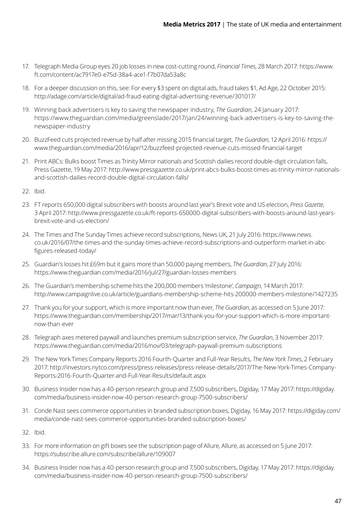- 17. Telegraph Media Group eyes 20 job losses in new cost-cutting round, *Financial Times*, 28 March 2017: https://www. ft.com/content/ac7917e0-e75d-38a4-ace1-f7b07da53a8c
- 18. For a deeper discussion on this, see: For every \$3 spent on digital ads, fraud takes \$1, Ad Age, 22 October 2015: http://adage.com/article/digital/ad-fraud-eating-digital-advertising-revenue/301017/
- 19. Winning back advertisers is key to saving the newspaper industry, *The Guardian*, 24 January 2017: https://www.theguardian.com/media/greenslade/2017/jan/24/winning-back-advertisers-is-key-to-saving-thenewspaper-industry
- 20. BuzzFeed cuts projected revenue by half after missing 2015 financial target, *The Guardian*, 12 April 2016: https:// www.theguardian.com/media/2016/apr/12/buzzfeed-projected-revenue-cuts-missed-financial-target
- 21. Print ABCs: Bulks boost Times as Trinity Mirror nationals and Scottish dailies record double-digit circulation falls, Press Gazette, 19 May 2017: http://www.pressgazette.co.uk/print-abcs-bulks-boost-times-as-trinity-mirror-nationalsand-scottish-dailies-record-double-digital-circulation-falls/
- 22. Ibid.
- 23. FT reports 650,000 digital subscribers with boosts around last year's Brexit vote and US election, *Press Gazette*, 3 April 2017: http://www.pressgazette.co.uk/ft-reports-650000-digital-subscribers-with-boosts-around-last-yearsbrexit-vote-and-us-election/
- 24. The Times and The Sunday Times achieve record subscriptions, News UK, 21 July 2016: https://www.news. co.uk/2016/07/the-times-and-the-sunday-times-achieve-record-subscriptions-and-outperform-market-in-abcfigures-released-today/
- 25. Guardian's losses hit £69m but it gains more than 50,000 paying members, *The Guardian*, 27 July 2016: https://www.theguardian.com/media/2016/jul/27/guardian-losses-members
- 26. The Guardian's membership scheme hits the 200,000 members 'milestone', *Campaign*, 14 March 2017: http://www.campaignlive.co.uk/article/guardians-membership-scheme-hits-200000-members-milestone/1427235
- 27. Thank you for your support, which is more important now than ever, *The Guardian*, as accessed on 5 June 2017: https://www.theguardian.com/membership/2017/mar/13/thank-you-for-your-support-which-is-more-importantnow-than-ever
- 28. Telegraph axes metered paywall and launches premium subscription service, *The Guardian*, 3 November 2017: https://www.theguardian.com/media/2016/nov/03/telegraph-paywall-premium-subscriptions
- 29. The New York Times Company Reports 2016 Fourth-Quarter and Full-Year Results, *The New York Times*, 2 February 2017: http://investors.nytco.com/press/press-releases/press-release-details/2017/The-New-York-Times-Company-Reports-2016-Fourth-Quarter-and-Full-Year-Results/default.aspx
- 30. Business Insider now has a 40-person research group and 7,500 subscribers, Digiday, 17 May 2017: https://digiday. com/media/business-insider-now-40-person-research-group-7500-subscribers/
- 31. Conde Nast sees commerce opportunities in branded subscription boxes, Digiday, 16 May 2017: https://digiday.com/ media/conde-nast-sees-commerce-opportunities-branded-subscription-boxes/
- 32. Ibid.
- 33. For more information on gift boxes see the subscription page of Allure, Allure, as accessed on 5 June 2017: https://subscribe.allure.com/subscribe/allure/109007
- 34. Business Insider now has a 40-person research group and 7,500 subscribers, Digiday, 17 May 2017: https://digiday. com/media/business-insider-now-40-person-research-group-7500-subscribers/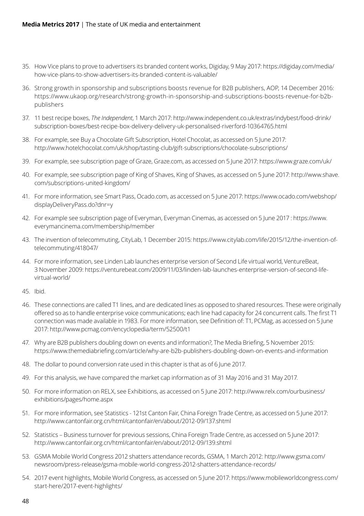- 35. How Vice plans to prove to advertisers its branded content works, Digiday, 9 May 2017: https://digiday.com/media/ how-vice-plans-to-show-advertisers-its-branded-content-is-valuable/
- 36. Strong growth in sponsorship and subscriptions boosts revenue for B2B publishers, AOP, 14 December 2016: https://www.ukaop.org/research/strong-growth-in-sponsorship-and-subscriptions-boosts-revenue-for-b2bpublishers
- 37. 11 best recipe boxes, *The Independent*, 1 March 2017: http://www.independent.co.uk/extras/indybest/food-drink/ subscription-boxes/best-recipe-box-delivery-delivery-uk-personalised-riverford-10364765.html
- 38. For example, see Buy a Chocolate Gift Subscription, Hotel Chocolat, as accessed on 5 June 2017: http://www.hotelchocolat.com/uk/shop/tasting-club/gift-subscriptions/chocolate-subscriptions/
- 39. For example, see subscription page of Graze, Graze.com, as accessed on 5 June 2017: https://www.graze.com/uk/
- 40. For example, see subscription page of King of Shaves, King of Shaves, as accessed on 5 June 2017: http://www.shave. com/subscriptions-united-kingdom/
- 41. For more information, see Smart Pass, Ocado.com, as accessed on 5 June 2017: https://www.ocado.com/webshop/ displayDeliveryPass.do?dnr=y
- 42. For example see subscription page of Everyman, Everyman Cinemas, as accessed on 5 June 2017 : https://www. everymancinema.com/membership/member
- 43. The invention of telecommuting, CityLab, 1 December 2015: https://www.citylab.com/life/2015/12/the-invention-oftelecommuting/418047/
- 44. For more information, see Linden Lab launches enterprise version of Second Life virtual world, VentureBeat, 3 November 2009: https://venturebeat.com/2009/11/03/linden-lab-launches-enterprise-version-of-second-lifevirtual-world/
- 45. Ibid.
- 46. These connections are called T1 lines, and are dedicated lines as opposed to shared resources. These were originally offered so as to handle enterprise voice communications; each line had capacity for 24 concurrent calls. The first T1 connection was made available in 1983. For more information, see Definition of: T1, PCMag, as accessed on 5 June 2017: http://www.pcmag.com/encyclopedia/term/52500/t1
- 47. Why are B2B publishers doubling down on events and information?, The Media Briefing, 5 November 2015: https://www.themediabriefing.com/article/why-are-b2b-publishers-doubling-down-on-events-and-information
- 48. The dollar to pound conversion rate used in this chapter is that as of 6 June 2017.
- 49. For this analysis, we have compared the market cap information as of 31 May 2016 and 31 May 2017.
- 50. For more information on RELX, see Exhibitions, as accessed on 5 June 2017: http://www.relx.com/ourbusiness/ exhibitions/pages/home.aspx
- 51. For more information, see Statistics 121st Canton Fair, China Foreign Trade Centre, as accessed on 5 June 2017: http://www.cantonfair.org.cn/html/cantonfair/en/about/2012-09/137.shtml
- 52. Statistics Business turnover for previous sessions, China Foreign Trade Centre, as accessed on 5 June 2017: http://www.cantonfair.org.cn/html/cantonfair/en/about/2012-09/139.shtml
- 53. GSMA Mobile World Congress 2012 shatters attendance records, GSMA, 1 March 2012: http://www.gsma.com/ newsroom/press-release/gsma-mobile-world-congress-2012-shatters-attendance-records/
- 54. 2017 event highlights, Mobile World Congress, as accessed on 5 June 2017: https://www.mobileworldcongress.com/ start-here/2017-event-highlights/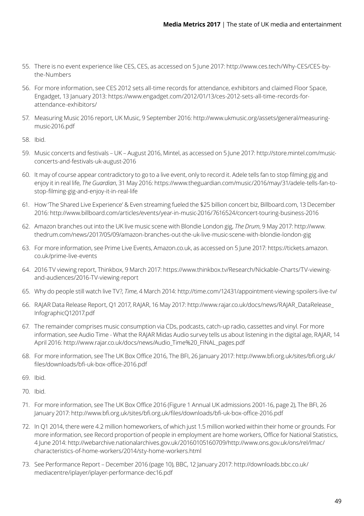- 55. There is no event experience like CES, CES, as accessed on 5 June 2017: http://www.ces.tech/Why-CES/CES-bythe-Numbers
- 56. For more information, see CES 2012 sets all-time records for attendance, exhibitors and claimed Floor Space, Engadget, 13 January 2013: https://www.engadget.com/2012/01/13/ces-2012-sets-all-time-records-forattendance-exhibitors/
- 57. Measuring Music 2016 report, UK Music, 9 September 2016: http://www.ukmusic.org/assets/general/measuringmusic-2016.pdf
- 58. Ibid.
- 59. Music concerts and festivals UK August 2016, Mintel, as accessed on 5 June 2017: http://store.mintel.com/musicconcerts-and-festivals-uk-august-2016
- 60. It may of course appear contradictory to go to a live event, only to record it. Adele tells fan to stop filming gig and enjoy it in real life, *The Guardian*, 31 May 2016: https://www.theguardian.com/music/2016/may/31/adele-tells-fan-tostop-filming-gig-and-enjoy-it-in-real-life
- 61. How 'The Shared Live Experience' & Even streaming fueled the \$25 billion concert biz, Billboard.com, 13 December 2016: http://www.billboard.com/articles/events/year-in-music-2016/7616524/concert-touring-business-2016
- 62. Amazon branches out into the UK live music scene with Blondie London gig, *The Drum*, 9 May 2017: http://www. thedrum.com/news/2017/05/09/amazon-branches-out-the-uk-live-music-scene-with-blondie-london-gig
- 63. For more information, see Prime Live Events, Amazon.co.uk, as accessed on 5 June 2017: https://tickets.amazon. co.uk/prime-live-events
- 64. 2016 TV viewing report, Thinkbox, 9 March 2017: https://www.thinkbox.tv/Research/Nickable-Charts/TV-viewingand-audiences/2016-TV-viewing-report
- 65. Why do people still watch live TV?, *Time*, 4 March 2014: http://time.com/12431/appointment-viewing-spoilers-live-tv/
- 66. RAJAR Data Release Report, Q1 2017, RAJAR, 16 May 2017: http://www.rajar.co.uk/docs/news/RAJAR\_DataRelease\_ InfographicQ12017.pdf
- 67. The remainder comprises music consumption via CDs, podcasts, catch-up radio, cassettes and vinyl. For more information, see Audio Time - What the RAJAR Midas Audio survey tells us about listening in the digital age, RAJAR, 14 April 2016: http://www.rajar.co.uk/docs/news/Audio\_Time%20\_FINAL\_pages.pdf
- 68. For more information, see The UK Box Office 2016, The BFI, 26 January 2017: http://www.bfi.org.uk/sites/bfi.org.uk/ files/downloads/bfi-uk-box-office-2016.pdf
- 69. Ibid.
- 70. Ibid.
- 71. For more information, see The UK Box Office 2016 (Figure 1 Annual UK admissions 2001-16, page 2), The BFI, 26 January 2017: http://www.bfi.org.uk/sites/bfi.org.uk/files/downloads/bfi-uk-box-office-2016.pdf
- 72. In Q1 2014, there were 4.2 million homeworkers, of which just 1.5 million worked within their home or grounds. For more information, see Record proportion of people in employment are home workers, Office for National Statistics, 4 June 2014: http://webarchive.nationalarchives.gov.uk/20160105160709/http://www.ons.gov.uk/ons/rel/lmac/ characteristics-of-home-workers/2014/sty-home-workers.html
- 73. See Performance Report December 2016 (page 10), BBC, 12 January 2017: http://downloads.bbc.co.uk/ mediacentre/iplayer/iplayer-performance-dec16.pdf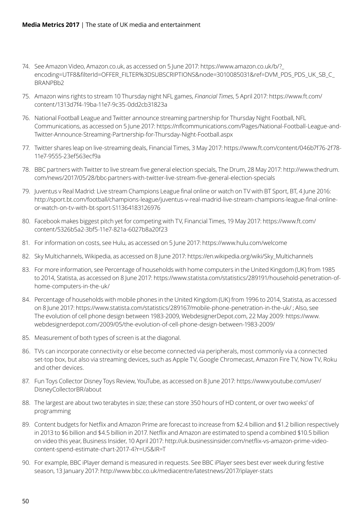- 74. See Amazon Video, Amazon.co.uk, as accessed on 5 June 2017: https://www.amazon.co.uk/b/?\_ encoding=UTF8&filterId=OFFER\_FILTER%3DSUBSCRIPTIONS&node=3010085031&ref=DVM\_PDS\_PDS\_UK\_SB\_C\_ BRANPBb2
- 75. Amazon wins rights to stream 10 Thursday night NFL games, *Financial Times*, 5 April 2017: https://www.ft.com/ content/1313d7f4-19ba-11e7-9c35-0dd2cb31823a
- 76. National Football League and Twitter announce streaming partnership for Thursday Night Football, NFL Communications, as accessed on 5 June 2017: https://nflcommunications.com/Pages/National-Football-League-and-Twitter-Announce-Streaming-Partnership-for-Thursday-Night-Football.aspx
- 77. Twitter shares leap on live-streaming deals, Financial Times, 3 May 2017: https://www.ft.com/content/046b7f76-2f78- 11e7-9555-23ef563ecf9a
- 78. BBC partners with Twitter to live stream five general election specials, The Drum, 28 May 2017: http://www.thedrum. com/news/2017/05/28/bbc-partners-with-twitter-live-stream-five-general-election-specials
- 79. Juventus v Real Madrid: Live stream Champions League final online or watch on TV with BT Sport, BT, 4 June 2016: http://sport.bt.com/football/champions-league/juventus-v-real-madrid-live-stream-champions-league-final-onlineor-watch-on-tv-with-bt-sport-S11364183126976
- 80. Facebook makes biggest pitch yet for competing with TV, Financial Times, 19 May 2017: https://www.ft.com/ content/5326b5a2-3bf5-11e7-821a-6027b8a20f23
- 81. For information on costs, see Hulu, as accessed on 5 June 2017: https://www.hulu.com/welcome
- 82. Sky Multichannels, Wikipedia, as accessed on 8 June 2017: https://en.wikipedia.org/wiki/Sky\_Multichannels
- 83. For more information, see Percentage of households with home computers in the United Kingdom (UK) from 1985 to 2014, Statista, as accessed on 8 June 2017: https://www.statista.com/statistics/289191/household-penetration-ofhome-computers-in-the-uk/
- 84. Percentage of households with mobile phones in the United Kingdom (UK) from 1996 to 2014, Statista, as accessed on 8 June 2017: https://www.statista.com/statistics/289167/mobile-phone-penetration-in-the-uk/ ; Also, see The evolution of cell phone design between 1983-2009, WebdesignerDepot.com, 22 May 2009: https://www. webdesignerdepot.com/2009/05/the-evolution-of-cell-phone-design-between-1983-2009/
- 85. Measurement of both types of screen is at the diagonal.
- 86. TVs can incorporate connectivity or else become connected via peripherals, most commonly via a connected set-top box, but also via streaming devices, such as Apple TV, Google Chromecast, Amazon Fire TV, Now TV, Roku and other devices.
- 87. Fun Toys Collector Disney Toys Review, YouTube, as accessed on 8 June 2017: https://www.youtube.com/user/ DisneyCollectorBR/about
- 88. The largest are about two terabytes in size; these can store 350 hours of HD content, or over two weeks' of programming
- 89. Content budgets for Netflix and Amazon Prime are forecast to increase from \$2.4 billion and \$1.2 billion respectively in 2013 to \$6 billion and \$4.5 billion in 2017. Netflix and Amazon are estimated to spend a combined \$10.5 billion on video this year, Business Insider, 10 April 2017: http://uk.businessinsider.com/netflix-vs-amazon-prime-videocontent-spend-estimate-chart-2017-4?r=US&IR=T
- 90. For example, BBC iPlayer demand is measured in requests. See BBC iPlayer sees best ever week during festive season, 13 January 2017: http://www.bbc.co.uk/mediacentre/latestnews/2017/iplayer-stats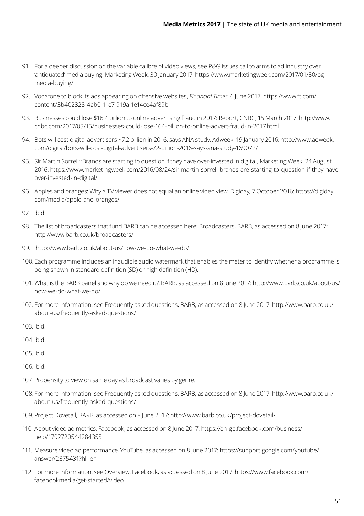- 91. For a deeper discussion on the variable calibre of video views, see P&G issues call to arms to ad industry over 'antiquated' media buying, Marketing Week, 30 January 2017: https://www.marketingweek.com/2017/01/30/pgmedia-buying/
- 92. Vodafone to block its ads appearing on offensive websites, *Financial Times*, 6 June 2017: https://www.ft.com/ content/3b402328-4ab0-11e7-919a-1e14ce4af89b
- 93. Businesses could lose \$16.4 billion to online advertising fraud in 2017: Report, CNBC, 15 March 2017: http://www. cnbc.com/2017/03/15/businesses-could-lose-164-billion-to-online-advert-fraud-in-2017.html
- 94. Bots will cost digital advertisers \$7.2 billion in 2016, says ANA study, Adweek, 19 January 2016: http://www.adweek. com/digital/bots-will-cost-digital-advertisers-72-billion-2016-says-ana-study-169072/
- 95. Sir Martin Sorrell: 'Brands are starting to question if they have over-invested in digital', Marketing Week, 24 August 2016: https://www.marketingweek.com/2016/08/24/sir-martin-sorrell-brands-are-starting-to-question-if-they-haveover-invested-in-digital/
- 96. Apples and oranges: Why a TV viewer does not equal an online video view, Digiday, 7 October 2016: https://digiday. com/media/apple-and-oranges/
- 97. Ibid.
- 98. The list of broadcasters that fund BARB can be accessed here: Broadcasters, BARB, as accessed on 8 June 2017: http://www.barb.co.uk/broadcasters/
- 99. http://www.barb.co.uk/about-us/how-we-do-what-we-do/
- 100. Each programme includes an inaudible audio watermark that enables the meter to identify whether a programme is being shown in standard definition (SD) or high definition (HD).
- 101. What is the BARB panel and why do we need it?, BARB, as accessed on 8 June 2017: http://www.barb.co.uk/about-us/ how-we-do-what-we-do/
- 102. For more information, see Frequently asked questions, BARB, as accessed on 8 June 2017: http://www.barb.co.uk/ about-us/frequently-asked-questions/
- 103. Ibid.
- 104.Ibid.
- 105. Ibid.
- 106. Ibid.
- 107. Propensity to view on same day as broadcast varies by genre.
- 108. For more information, see Frequently asked questions, BARB, as accessed on 8 June 2017: http://www.barb.co.uk/ about-us/frequently-asked-questions/
- 109. Project Dovetail, BARB, as accessed on 8 June 2017: http://www.barb.co.uk/project-dovetail/
- 110. About video ad metrics, Facebook, as accessed on 8 June 2017: https://en-gb.facebook.com/business/ help/1792720544284355
- 111. Measure video ad performance, YouTube, as accessed on 8 June 2017: https://support.google.com/youtube/ answer/2375431?hl=en
- 112. For more information, see Overview, Facebook, as accessed on 8 June 2017: https://www.facebook.com/ facebookmedia/get-started/video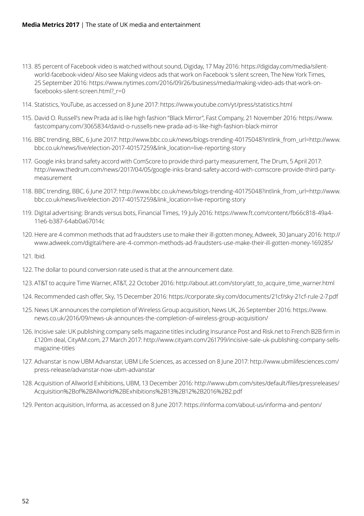- 113. 85 percent of Facebook video is watched without sound, Digiday, 17 May 2016: https://digiday.com/media/silentworld-facebook-video/ Also see Making videos ads that work on Facebook 's silent screen, The New York Times, 25 September 2016: https://www.nytimes.com/2016/09/26/business/media/making-video-ads-that-work-onfacebooks-silent-screen.html?\_r=0
- 114. Statistics, YouTube, as accessed on 8 June 2017: https://www.youtube.com/yt/press/statistics.html
- 115. David O. Russell's new Prada ad is like high fashion "Black Mirror", Fast Company, 21 November 2016: https://www. fastcompany.com/3065834/david-o-russells-new-prada-ad-is-like-high-fashion-black-mirror
- 116. BBC trending, BBC, 6 June 2017: http://www.bbc.co.uk/news/blogs-trending-40175048?intlink\_from\_url=http://www. bbc.co.uk/news/live/election-2017-40157259&link\_location=live-reporting-story
- 117. Google inks brand safety accord with ComScore to provide third-party measurement, The Drum, 5 April 2017: http://www.thedrum.com/news/2017/04/05/google-inks-brand-safety-accord-with-comscore-provide-third-partymeasurement
- 118. BBC trending, BBC, 6 June 2017: http://www.bbc.co.uk/news/blogs-trending-40175048?intlink\_from\_url=http://www. bbc.co.uk/news/live/election-2017-40157259&link\_location=live-reporting-story
- 119. Digital advertising: Brands versus bots, Financial Times, 19 July 2016: https://www.ft.com/content/fb66c818-49a4- 11e6-b387-64ab0a67014c
- 120. Here are 4 common methods that ad fraudsters use to make their ill-gotten money, Adweek, 30 January 2016: http:// www.adweek.com/digital/here-are-4-common-methods-ad-fraudsters-use-make-their-ill-gotten-money-169285/
- 121. Ibid.
- 122. The dollar to pound conversion rate used is that at the announcement date.
- 123. AT&T to acquire Time Warner, AT&T, 22 October 2016: http://about.att.com/story/att\_to\_acquire\_time\_warner.html
- 124. Recommended cash offer, Sky, 15 December 2016: https://corporate.sky.com/documents/21cf/sky-21cf-rule-2-7.pdf
- 125. News UK announces the completion of Wireless Group acquisition, News UK, 26 September 2016: https://www. news.co.uk/2016/09/news-uk-announces-the-completion-of-wireless-group-acquisition/
- 126. Incisive sale: UK publishing company sells magazine titles including Insurance Post and Risk.net to French B2B firm in £120m deal, CityAM.com, 27 March 2017: http://www.cityam.com/261799/incisive-sale-uk-publishing-company-sellsmagazine-titles
- 127. Advanstar is now UBM Advanstar, UBM Life Sciences, as accessed on 8 June 2017: http://www.ubmlifesciences.com/ press-release/advanstar-now-ubm-advanstar
- 128. Acquisition of Allworld Exhibitions, UBM, 13 December 2016: http://www.ubm.com/sites/default/files/pressreleases/ Acquisition%2Bof%2BAllworld%2BExhibitions%2B13%2B12%2B2016%2B2.pdf
- 129. Penton acquisition, Informa, as accessed on 8 June 2017: https://informa.com/about-us/informa-and-penton/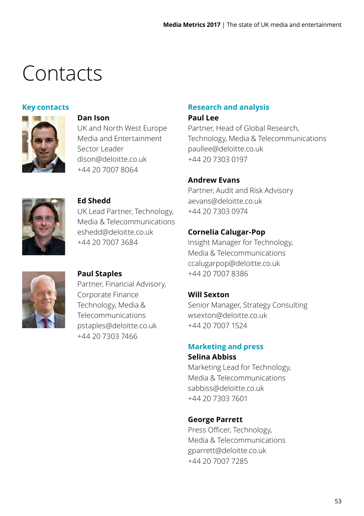### <span id="page-54-0"></span>Contacts

#### **Key contacts**



#### **Dan Ison**

UK and North West Europe Media and Entertainment Sector Leader dison@deloitte.co.uk +44 20 7007 8064



#### **Ed Shedd**

UK Lead Partner, Technology, Media & Telecommunications eshedd@deloitte.co.uk +44 20 7007 3684



#### **Paul Staples**

Partner, Financial Advisory, Corporate Finance Technology, Media & Telecommunications pstaples@deloitte.co.uk +44 20 7303 7466

### **Research and analysis**

#### **Paul Lee**

Partner, Head of Global Research, Technology, Media & Telecommunications paullee@deloitte.co.uk +44 20 7303 0197

#### **Andrew Evans**

Partner, Audit and Risk Advisory aevans@deloitte.co.uk +44 20 7303 0974

#### **Cornelia Calugar-Pop**

Insight Manager for Technology, Media & Telecommunications ccalugarpop@deloitte.co.uk +44 20 7007 8386

#### **Will Sexton**

Senior Manager, Strategy Consulting wsexton@deloitte.co.uk +44 20 7007 1524

#### **Marketing and press**

#### **Selina Abbiss**

Marketing Lead for Technology, Media & Telecommunications sabbiss@deloitte.co.uk +44 20 7303 7601

#### **George Parrett**

Press Officer, Technology, Media & Telecommunications gparrett@deloitte.co.uk +44 20 7007 7285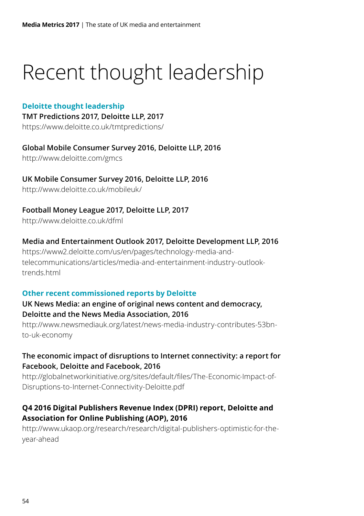# <span id="page-55-0"></span>Recent thought leadership

#### **Deloitte thought leadership**

**TMT Predictions 2017, Deloitte LLP, 2017** https://www.deloitte.co.uk/tmtpredictions/

**Global Mobile Consumer Survey 2016, Deloitte LLP, 2016** http://www.deloitte.com/gmcs

**UK Mobile Consumer Survey 2016, Deloitte LLP, 2016**  http://www.deloitte.co.uk/mobileuk/

**Football Money League 2017, Deloitte LLP, 2017** http://www.deloitte.co.uk/dfml

**Media and Entertainment Outlook 2017, Deloitte Development LLP, 2016** 

https://www2.deloitte.com/us/en/pages/technology-media-andtelecommunications/articles/media-and-entertainment-industry-outlooktrends html

#### **Other recent commissioned reports by Deloitte**

#### **UK News Media: an engine of original news content and democracy, Deloitte and the News Media Association, 2016**

http://www.newsmediauk.org/latest/news-media-industry-contributes-53bnto-uk-economy

#### **The economic impact of disruptions to Internet connectivity: a report for Facebook, Deloitte and Facebook, 2016**

http://globalnetworkinitiative.org/sites/default/files/The-Economic-Impact-of-Disruptions-to-Internet-Connectivity-Deloitte.pdf

#### **Q4 2016 Digital Publishers Revenue Index (DPRI) report, Deloitte and Association for Online Publishing (AOP), 2016**

http://www.ukaop.org/research/research/digital-publishers-optimistic-for-theyear-ahead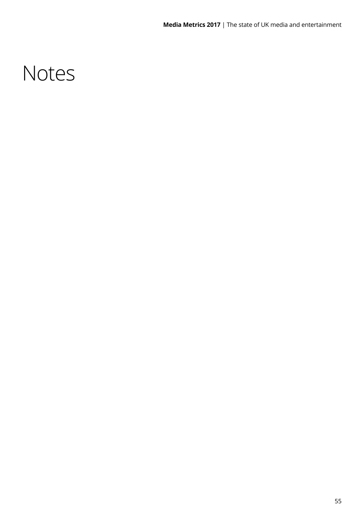### Notes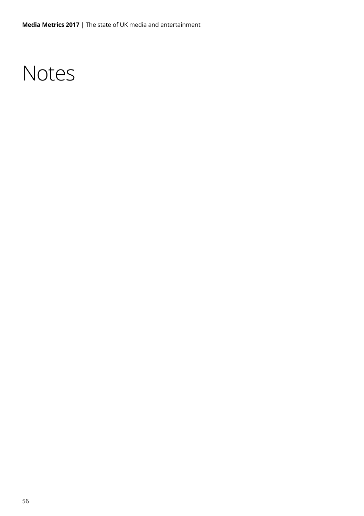### **Notes**